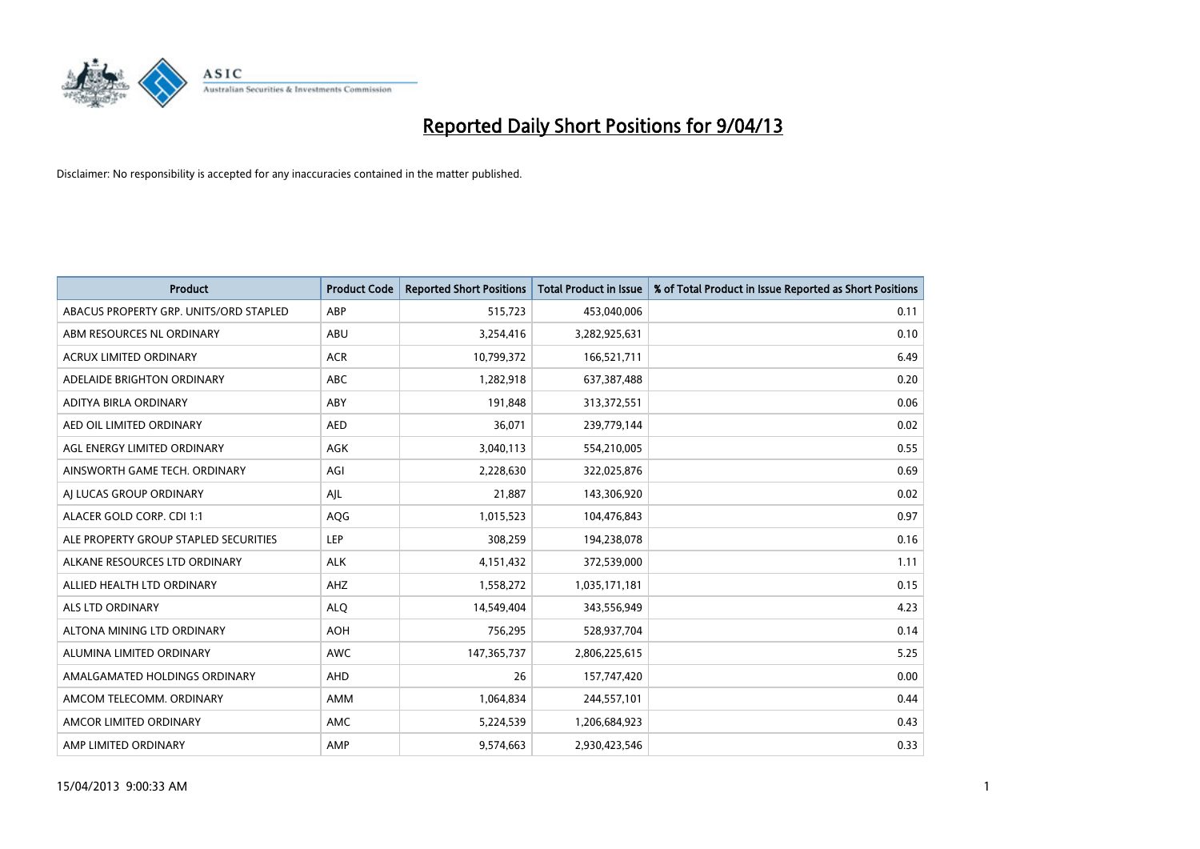

| <b>Product</b>                         | <b>Product Code</b> | <b>Reported Short Positions</b> | <b>Total Product in Issue</b> | % of Total Product in Issue Reported as Short Positions |
|----------------------------------------|---------------------|---------------------------------|-------------------------------|---------------------------------------------------------|
| ABACUS PROPERTY GRP. UNITS/ORD STAPLED | ABP                 | 515,723                         | 453,040,006                   | 0.11                                                    |
| ABM RESOURCES NL ORDINARY              | ABU                 | 3,254,416                       | 3,282,925,631                 | 0.10                                                    |
| <b>ACRUX LIMITED ORDINARY</b>          | <b>ACR</b>          | 10,799,372                      | 166,521,711                   | 6.49                                                    |
| ADELAIDE BRIGHTON ORDINARY             | <b>ABC</b>          | 1,282,918                       | 637,387,488                   | 0.20                                                    |
| ADITYA BIRLA ORDINARY                  | ABY                 | 191,848                         | 313,372,551                   | 0.06                                                    |
| AED OIL LIMITED ORDINARY               | <b>AED</b>          | 36,071                          | 239,779,144                   | 0.02                                                    |
| AGL ENERGY LIMITED ORDINARY            | AGK                 | 3,040,113                       | 554,210,005                   | 0.55                                                    |
| AINSWORTH GAME TECH. ORDINARY          | AGI                 | 2,228,630                       | 322,025,876                   | 0.69                                                    |
| AI LUCAS GROUP ORDINARY                | AJL                 | 21,887                          | 143,306,920                   | 0.02                                                    |
| ALACER GOLD CORP. CDI 1:1              | AQG                 | 1,015,523                       | 104,476,843                   | 0.97                                                    |
| ALE PROPERTY GROUP STAPLED SECURITIES  | <b>LEP</b>          | 308,259                         | 194,238,078                   | 0.16                                                    |
| ALKANE RESOURCES LTD ORDINARY          | <b>ALK</b>          | 4,151,432                       | 372,539,000                   | 1.11                                                    |
| ALLIED HEALTH LTD ORDINARY             | AHZ                 | 1,558,272                       | 1,035,171,181                 | 0.15                                                    |
| ALS LTD ORDINARY                       | <b>ALO</b>          | 14,549,404                      | 343,556,949                   | 4.23                                                    |
| ALTONA MINING LTD ORDINARY             | <b>AOH</b>          | 756,295                         | 528,937,704                   | 0.14                                                    |
| ALUMINA LIMITED ORDINARY               | <b>AWC</b>          | 147, 365, 737                   | 2,806,225,615                 | 5.25                                                    |
| AMALGAMATED HOLDINGS ORDINARY          | AHD                 | 26                              | 157,747,420                   | 0.00                                                    |
| AMCOM TELECOMM, ORDINARY               | AMM                 | 1,064,834                       | 244,557,101                   | 0.44                                                    |
| AMCOR LIMITED ORDINARY                 | AMC                 | 5,224,539                       | 1,206,684,923                 | 0.43                                                    |
| AMP LIMITED ORDINARY                   | AMP                 | 9,574,663                       | 2,930,423,546                 | 0.33                                                    |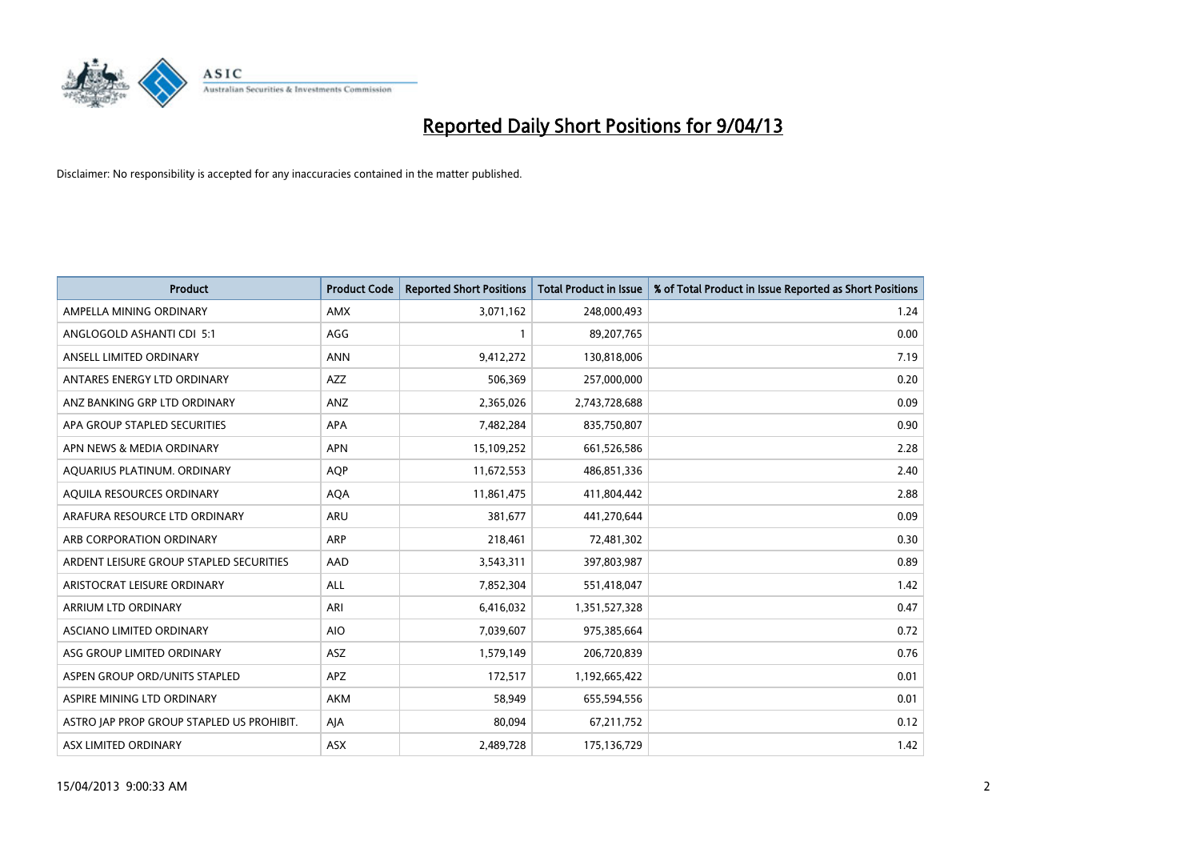

| <b>Product</b>                            | <b>Product Code</b> | <b>Reported Short Positions</b> | <b>Total Product in Issue</b> | % of Total Product in Issue Reported as Short Positions |
|-------------------------------------------|---------------------|---------------------------------|-------------------------------|---------------------------------------------------------|
| AMPELLA MINING ORDINARY                   | <b>AMX</b>          | 3,071,162                       | 248,000,493                   | 1.24                                                    |
| ANGLOGOLD ASHANTI CDI 5:1                 | AGG                 |                                 | 89,207,765                    | 0.00                                                    |
| ANSELL LIMITED ORDINARY                   | <b>ANN</b>          | 9,412,272                       | 130,818,006                   | 7.19                                                    |
| ANTARES ENERGY LTD ORDINARY               | AZZ                 | 506,369                         | 257,000,000                   | 0.20                                                    |
| ANZ BANKING GRP LTD ORDINARY              | ANZ                 | 2,365,026                       | 2,743,728,688                 | 0.09                                                    |
| APA GROUP STAPLED SECURITIES              | <b>APA</b>          | 7,482,284                       | 835,750,807                   | 0.90                                                    |
| APN NEWS & MEDIA ORDINARY                 | <b>APN</b>          | 15,109,252                      | 661,526,586                   | 2.28                                                    |
| AQUARIUS PLATINUM. ORDINARY               | <b>AOP</b>          | 11,672,553                      | 486,851,336                   | 2.40                                                    |
| AQUILA RESOURCES ORDINARY                 | <b>AQA</b>          | 11,861,475                      | 411,804,442                   | 2.88                                                    |
| ARAFURA RESOURCE LTD ORDINARY             | <b>ARU</b>          | 381,677                         | 441,270,644                   | 0.09                                                    |
| ARB CORPORATION ORDINARY                  | ARP                 | 218,461                         | 72,481,302                    | 0.30                                                    |
| ARDENT LEISURE GROUP STAPLED SECURITIES   | AAD                 | 3,543,311                       | 397,803,987                   | 0.89                                                    |
| ARISTOCRAT LEISURE ORDINARY               | ALL                 | 7,852,304                       | 551,418,047                   | 1.42                                                    |
| ARRIUM LTD ORDINARY                       | ARI                 | 6,416,032                       | 1,351,527,328                 | 0.47                                                    |
| ASCIANO LIMITED ORDINARY                  | <b>AIO</b>          | 7,039,607                       | 975,385,664                   | 0.72                                                    |
| ASG GROUP LIMITED ORDINARY                | ASZ                 | 1,579,149                       | 206,720,839                   | 0.76                                                    |
| ASPEN GROUP ORD/UNITS STAPLED             | APZ                 | 172,517                         | 1,192,665,422                 | 0.01                                                    |
| ASPIRE MINING LTD ORDINARY                | <b>AKM</b>          | 58,949                          | 655,594,556                   | 0.01                                                    |
| ASTRO JAP PROP GROUP STAPLED US PROHIBIT. | AJA                 | 80,094                          | 67,211,752                    | 0.12                                                    |
| ASX LIMITED ORDINARY                      | ASX                 | 2,489,728                       | 175,136,729                   | 1.42                                                    |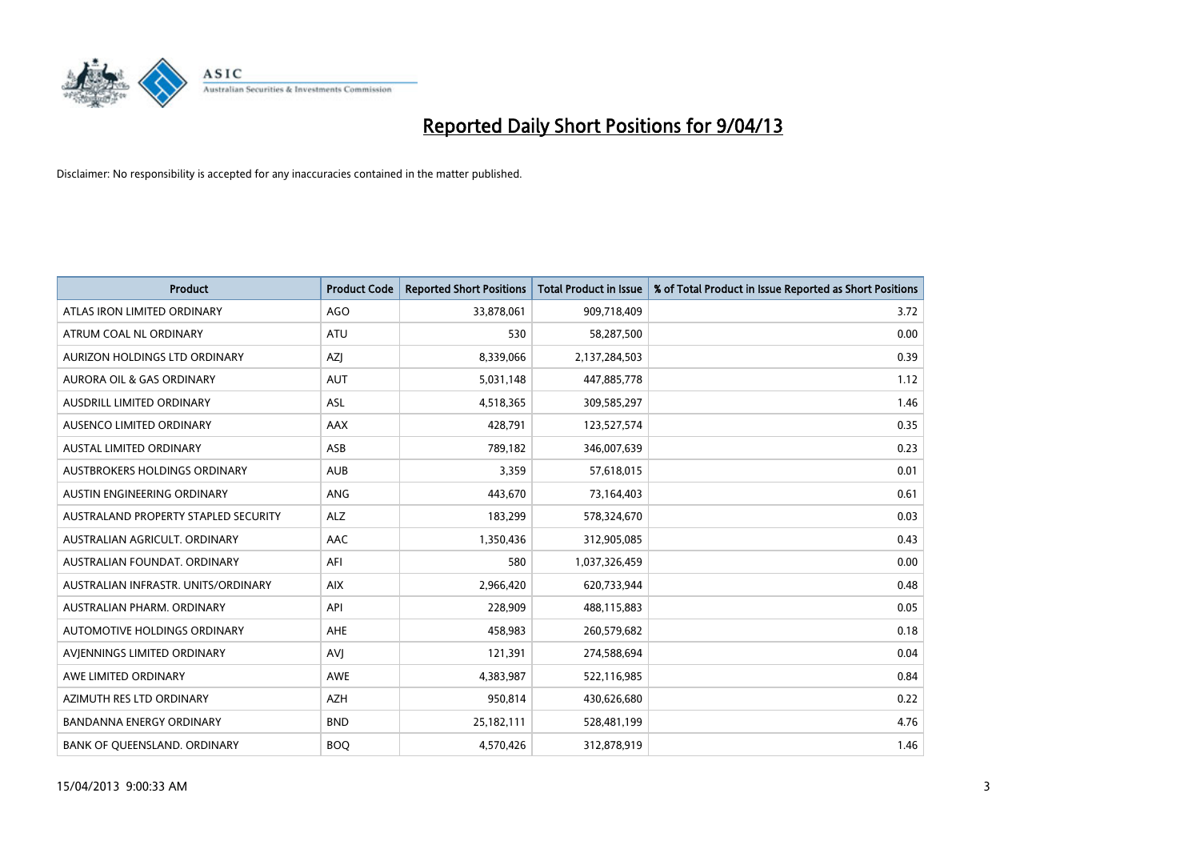

| <b>Product</b>                       | <b>Product Code</b> | <b>Reported Short Positions</b> | <b>Total Product in Issue</b> | % of Total Product in Issue Reported as Short Positions |
|--------------------------------------|---------------------|---------------------------------|-------------------------------|---------------------------------------------------------|
| ATLAS IRON LIMITED ORDINARY          | <b>AGO</b>          | 33,878,061                      | 909,718,409                   | 3.72                                                    |
| ATRUM COAL NL ORDINARY               | ATU                 | 530                             | 58,287,500                    | 0.00                                                    |
| AURIZON HOLDINGS LTD ORDINARY        | AZJ                 | 8,339,066                       | 2,137,284,503                 | 0.39                                                    |
| AURORA OIL & GAS ORDINARY            | <b>AUT</b>          | 5,031,148                       | 447,885,778                   | 1.12                                                    |
| <b>AUSDRILL LIMITED ORDINARY</b>     | ASL                 | 4,518,365                       | 309,585,297                   | 1.46                                                    |
| AUSENCO LIMITED ORDINARY             | <b>AAX</b>          | 428,791                         | 123,527,574                   | 0.35                                                    |
| <b>AUSTAL LIMITED ORDINARY</b>       | ASB                 | 789,182                         | 346,007,639                   | 0.23                                                    |
| AUSTBROKERS HOLDINGS ORDINARY        | <b>AUB</b>          | 3,359                           | 57,618,015                    | 0.01                                                    |
| AUSTIN ENGINEERING ORDINARY          | <b>ANG</b>          | 443,670                         | 73,164,403                    | 0.61                                                    |
| AUSTRALAND PROPERTY STAPLED SECURITY | <b>ALZ</b>          | 183,299                         | 578,324,670                   | 0.03                                                    |
| AUSTRALIAN AGRICULT. ORDINARY        | AAC                 | 1,350,436                       | 312,905,085                   | 0.43                                                    |
| AUSTRALIAN FOUNDAT, ORDINARY         | AFI                 | 580                             | 1,037,326,459                 | 0.00                                                    |
| AUSTRALIAN INFRASTR. UNITS/ORDINARY  | <b>AIX</b>          | 2,966,420                       | 620,733,944                   | 0.48                                                    |
| AUSTRALIAN PHARM, ORDINARY           | API                 | 228,909                         | 488,115,883                   | 0.05                                                    |
| <b>AUTOMOTIVE HOLDINGS ORDINARY</b>  | <b>AHE</b>          | 458,983                         | 260,579,682                   | 0.18                                                    |
| AVIENNINGS LIMITED ORDINARY          | <b>AVI</b>          | 121,391                         | 274,588,694                   | 0.04                                                    |
| AWE LIMITED ORDINARY                 | AWE                 | 4,383,987                       | 522,116,985                   | 0.84                                                    |
| AZIMUTH RES LTD ORDINARY             | <b>AZH</b>          | 950,814                         | 430,626,680                   | 0.22                                                    |
| <b>BANDANNA ENERGY ORDINARY</b>      | <b>BND</b>          | 25,182,111                      | 528,481,199                   | 4.76                                                    |
| BANK OF QUEENSLAND. ORDINARY         | <b>BOQ</b>          | 4,570,426                       | 312,878,919                   | 1.46                                                    |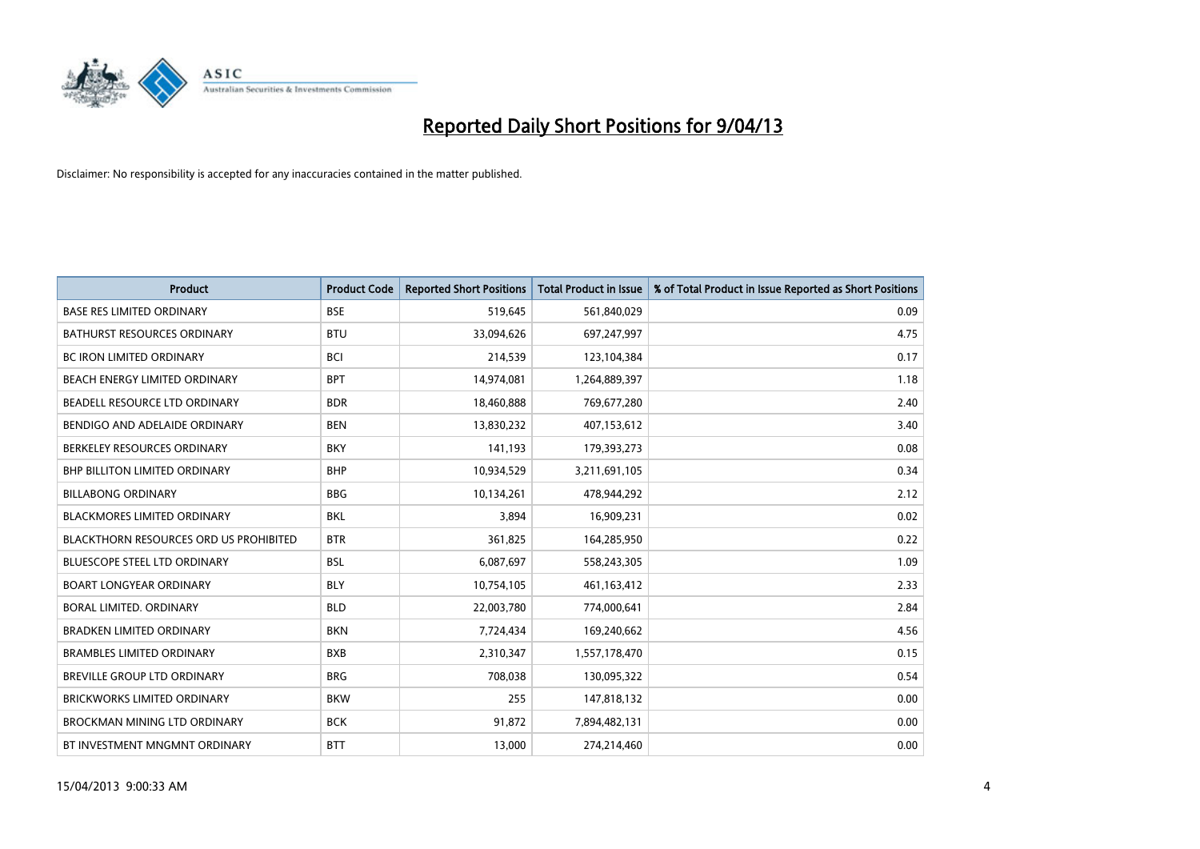

| <b>Product</b>                         | <b>Product Code</b> | <b>Reported Short Positions</b> | <b>Total Product in Issue</b> | % of Total Product in Issue Reported as Short Positions |
|----------------------------------------|---------------------|---------------------------------|-------------------------------|---------------------------------------------------------|
| <b>BASE RES LIMITED ORDINARY</b>       | <b>BSE</b>          | 519,645                         | 561,840,029                   | 0.09                                                    |
| BATHURST RESOURCES ORDINARY            | <b>BTU</b>          | 33,094,626                      | 697,247,997                   | 4.75                                                    |
| <b>BC IRON LIMITED ORDINARY</b>        | <b>BCI</b>          | 214,539                         | 123,104,384                   | 0.17                                                    |
| BEACH ENERGY LIMITED ORDINARY          | <b>BPT</b>          | 14,974,081                      | 1,264,889,397                 | 1.18                                                    |
| BEADELL RESOURCE LTD ORDINARY          | <b>BDR</b>          | 18,460,888                      | 769,677,280                   | 2.40                                                    |
| BENDIGO AND ADELAIDE ORDINARY          | <b>BEN</b>          | 13,830,232                      | 407,153,612                   | 3.40                                                    |
| BERKELEY RESOURCES ORDINARY            | <b>BKY</b>          | 141,193                         | 179,393,273                   | 0.08                                                    |
| <b>BHP BILLITON LIMITED ORDINARY</b>   | <b>BHP</b>          | 10,934,529                      | 3,211,691,105                 | 0.34                                                    |
| <b>BILLABONG ORDINARY</b>              | <b>BBG</b>          | 10,134,261                      | 478,944,292                   | 2.12                                                    |
| <b>BLACKMORES LIMITED ORDINARY</b>     | <b>BKL</b>          | 3,894                           | 16,909,231                    | 0.02                                                    |
| BLACKTHORN RESOURCES ORD US PROHIBITED | <b>BTR</b>          | 361,825                         | 164,285,950                   | 0.22                                                    |
| <b>BLUESCOPE STEEL LTD ORDINARY</b>    | <b>BSL</b>          | 6,087,697                       | 558,243,305                   | 1.09                                                    |
| <b>BOART LONGYEAR ORDINARY</b>         | <b>BLY</b>          | 10,754,105                      | 461,163,412                   | 2.33                                                    |
| <b>BORAL LIMITED, ORDINARY</b>         | <b>BLD</b>          | 22,003,780                      | 774,000,641                   | 2.84                                                    |
| <b>BRADKEN LIMITED ORDINARY</b>        | <b>BKN</b>          | 7,724,434                       | 169,240,662                   | 4.56                                                    |
| <b>BRAMBLES LIMITED ORDINARY</b>       | <b>BXB</b>          | 2,310,347                       | 1,557,178,470                 | 0.15                                                    |
| BREVILLE GROUP LTD ORDINARY            | <b>BRG</b>          | 708,038                         | 130,095,322                   | 0.54                                                    |
| <b>BRICKWORKS LIMITED ORDINARY</b>     | <b>BKW</b>          | 255                             | 147,818,132                   | 0.00                                                    |
| BROCKMAN MINING LTD ORDINARY           | <b>BCK</b>          | 91,872                          | 7,894,482,131                 | 0.00                                                    |
| BT INVESTMENT MNGMNT ORDINARY          | <b>BTT</b>          | 13,000                          | 274,214,460                   | 0.00                                                    |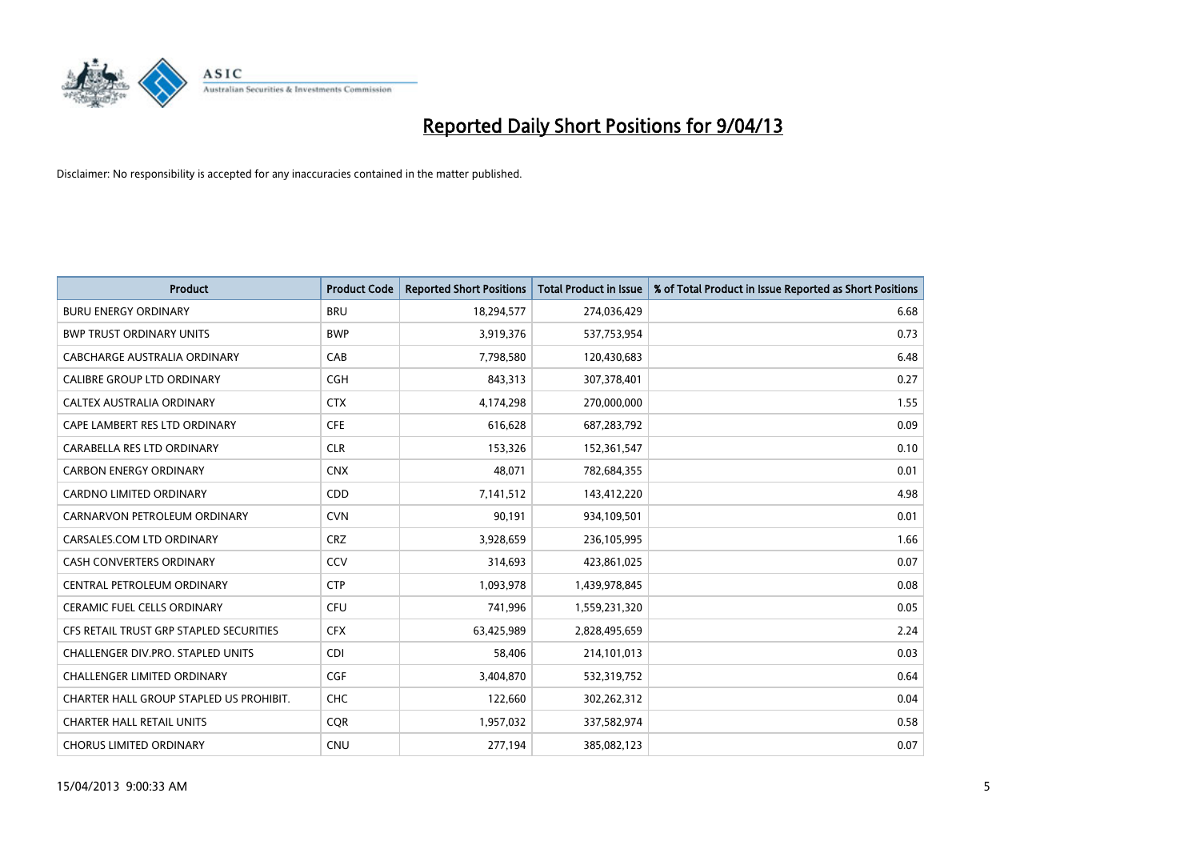

| <b>Product</b>                          | <b>Product Code</b> | <b>Reported Short Positions</b> | <b>Total Product in Issue</b> | % of Total Product in Issue Reported as Short Positions |
|-----------------------------------------|---------------------|---------------------------------|-------------------------------|---------------------------------------------------------|
| <b>BURU ENERGY ORDINARY</b>             | <b>BRU</b>          | 18,294,577                      | 274,036,429                   | 6.68                                                    |
| <b>BWP TRUST ORDINARY UNITS</b>         | <b>BWP</b>          | 3,919,376                       | 537,753,954                   | 0.73                                                    |
| CABCHARGE AUSTRALIA ORDINARY            | CAB                 | 7,798,580                       | 120,430,683                   | 6.48                                                    |
| CALIBRE GROUP LTD ORDINARY              | <b>CGH</b>          | 843,313                         | 307,378,401                   | 0.27                                                    |
| CALTEX AUSTRALIA ORDINARY               | <b>CTX</b>          | 4,174,298                       | 270,000,000                   | 1.55                                                    |
| CAPE LAMBERT RES LTD ORDINARY           | <b>CFE</b>          | 616,628                         | 687,283,792                   | 0.09                                                    |
| CARABELLA RES LTD ORDINARY              | <b>CLR</b>          | 153,326                         | 152,361,547                   | 0.10                                                    |
| <b>CARBON ENERGY ORDINARY</b>           | <b>CNX</b>          | 48,071                          | 782,684,355                   | 0.01                                                    |
| CARDNO LIMITED ORDINARY                 | CDD                 | 7,141,512                       | 143,412,220                   | 4.98                                                    |
| CARNARVON PETROLEUM ORDINARY            | <b>CVN</b>          | 90,191                          | 934,109,501                   | 0.01                                                    |
| CARSALES.COM LTD ORDINARY               | <b>CRZ</b>          | 3,928,659                       | 236,105,995                   | 1.66                                                    |
| <b>CASH CONVERTERS ORDINARY</b>         | CCV                 | 314,693                         | 423,861,025                   | 0.07                                                    |
| CENTRAL PETROLEUM ORDINARY              | <b>CTP</b>          | 1,093,978                       | 1,439,978,845                 | 0.08                                                    |
| <b>CERAMIC FUEL CELLS ORDINARY</b>      | <b>CFU</b>          | 741,996                         | 1,559,231,320                 | 0.05                                                    |
| CFS RETAIL TRUST GRP STAPLED SECURITIES | <b>CFX</b>          | 63,425,989                      | 2,828,495,659                 | 2.24                                                    |
| CHALLENGER DIV.PRO. STAPLED UNITS       | <b>CDI</b>          | 58,406                          | 214,101,013                   | 0.03                                                    |
| CHALLENGER LIMITED ORDINARY             | <b>CGF</b>          | 3,404,870                       | 532,319,752                   | 0.64                                                    |
| CHARTER HALL GROUP STAPLED US PROHIBIT. | <b>CHC</b>          | 122,660                         | 302,262,312                   | 0.04                                                    |
| <b>CHARTER HALL RETAIL UNITS</b>        | <b>COR</b>          | 1,957,032                       | 337,582,974                   | 0.58                                                    |
| <b>CHORUS LIMITED ORDINARY</b>          | <b>CNU</b>          | 277,194                         | 385,082,123                   | 0.07                                                    |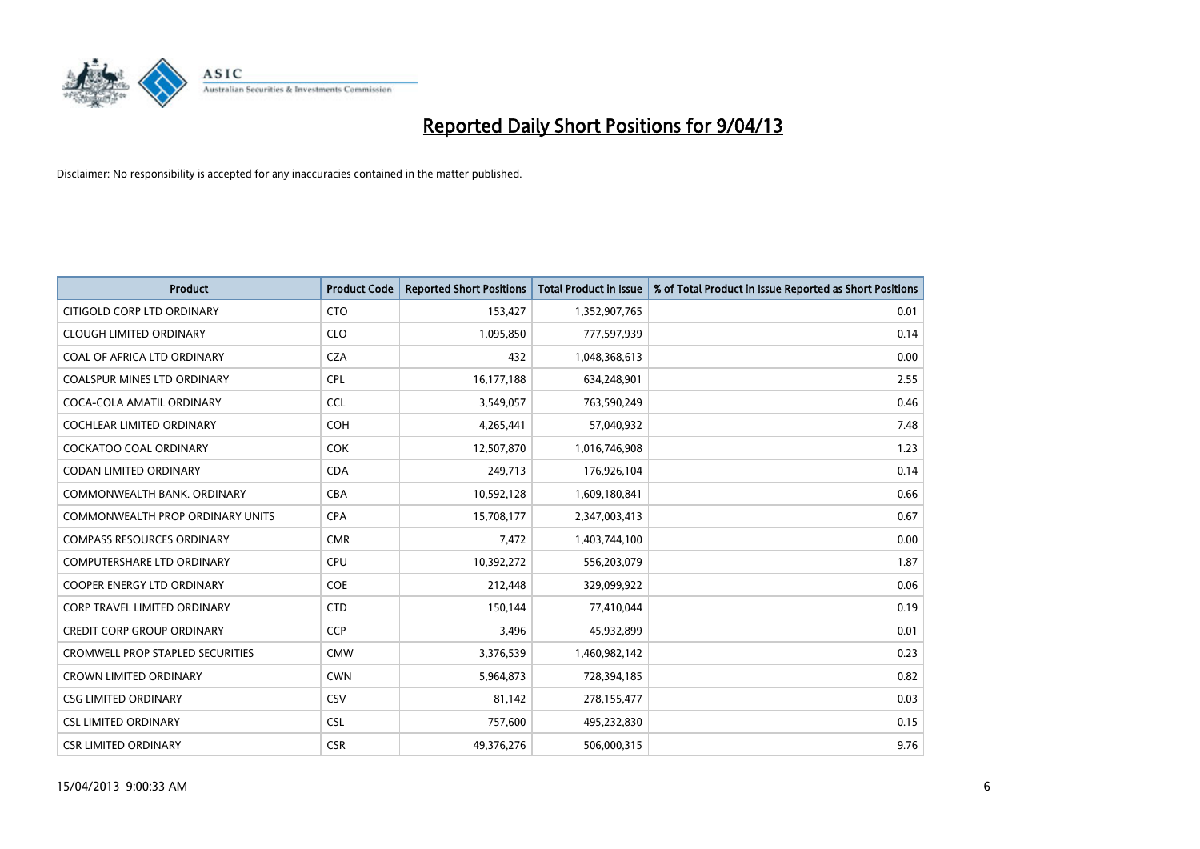

| <b>Product</b>                          | <b>Product Code</b> | <b>Reported Short Positions</b> | <b>Total Product in Issue</b> | % of Total Product in Issue Reported as Short Positions |
|-----------------------------------------|---------------------|---------------------------------|-------------------------------|---------------------------------------------------------|
| CITIGOLD CORP LTD ORDINARY              | <b>CTO</b>          | 153,427                         | 1,352,907,765                 | 0.01                                                    |
| <b>CLOUGH LIMITED ORDINARY</b>          | <b>CLO</b>          | 1,095,850                       | 777,597,939                   | 0.14                                                    |
| COAL OF AFRICA LTD ORDINARY             | <b>CZA</b>          | 432                             | 1,048,368,613                 | 0.00                                                    |
| COALSPUR MINES LTD ORDINARY             | <b>CPL</b>          | 16,177,188                      | 634,248,901                   | 2.55                                                    |
| COCA-COLA AMATIL ORDINARY               | <b>CCL</b>          | 3,549,057                       | 763,590,249                   | 0.46                                                    |
| <b>COCHLEAR LIMITED ORDINARY</b>        | <b>COH</b>          | 4,265,441                       | 57,040,932                    | 7.48                                                    |
| <b>COCKATOO COAL ORDINARY</b>           | <b>COK</b>          | 12,507,870                      | 1,016,746,908                 | 1.23                                                    |
| CODAN LIMITED ORDINARY                  | <b>CDA</b>          | 249,713                         | 176,926,104                   | 0.14                                                    |
| COMMONWEALTH BANK, ORDINARY             | <b>CBA</b>          | 10,592,128                      | 1,609,180,841                 | 0.66                                                    |
| COMMONWEALTH PROP ORDINARY UNITS        | <b>CPA</b>          | 15,708,177                      | 2,347,003,413                 | 0.67                                                    |
| <b>COMPASS RESOURCES ORDINARY</b>       | <b>CMR</b>          | 7,472                           | 1,403,744,100                 | 0.00                                                    |
| <b>COMPUTERSHARE LTD ORDINARY</b>       | <b>CPU</b>          | 10,392,272                      | 556,203,079                   | 1.87                                                    |
| COOPER ENERGY LTD ORDINARY              | <b>COE</b>          | 212,448                         | 329,099,922                   | 0.06                                                    |
| <b>CORP TRAVEL LIMITED ORDINARY</b>     | <b>CTD</b>          | 150,144                         | 77,410,044                    | 0.19                                                    |
| <b>CREDIT CORP GROUP ORDINARY</b>       | <b>CCP</b>          | 3,496                           | 45,932,899                    | 0.01                                                    |
| <b>CROMWELL PROP STAPLED SECURITIES</b> | <b>CMW</b>          | 3,376,539                       | 1,460,982,142                 | 0.23                                                    |
| <b>CROWN LIMITED ORDINARY</b>           | <b>CWN</b>          | 5,964,873                       | 728,394,185                   | 0.82                                                    |
| <b>CSG LIMITED ORDINARY</b>             | CSV                 | 81,142                          | 278,155,477                   | 0.03                                                    |
| <b>CSL LIMITED ORDINARY</b>             | <b>CSL</b>          | 757,600                         | 495,232,830                   | 0.15                                                    |
| <b>CSR LIMITED ORDINARY</b>             | <b>CSR</b>          | 49,376,276                      | 506,000,315                   | 9.76                                                    |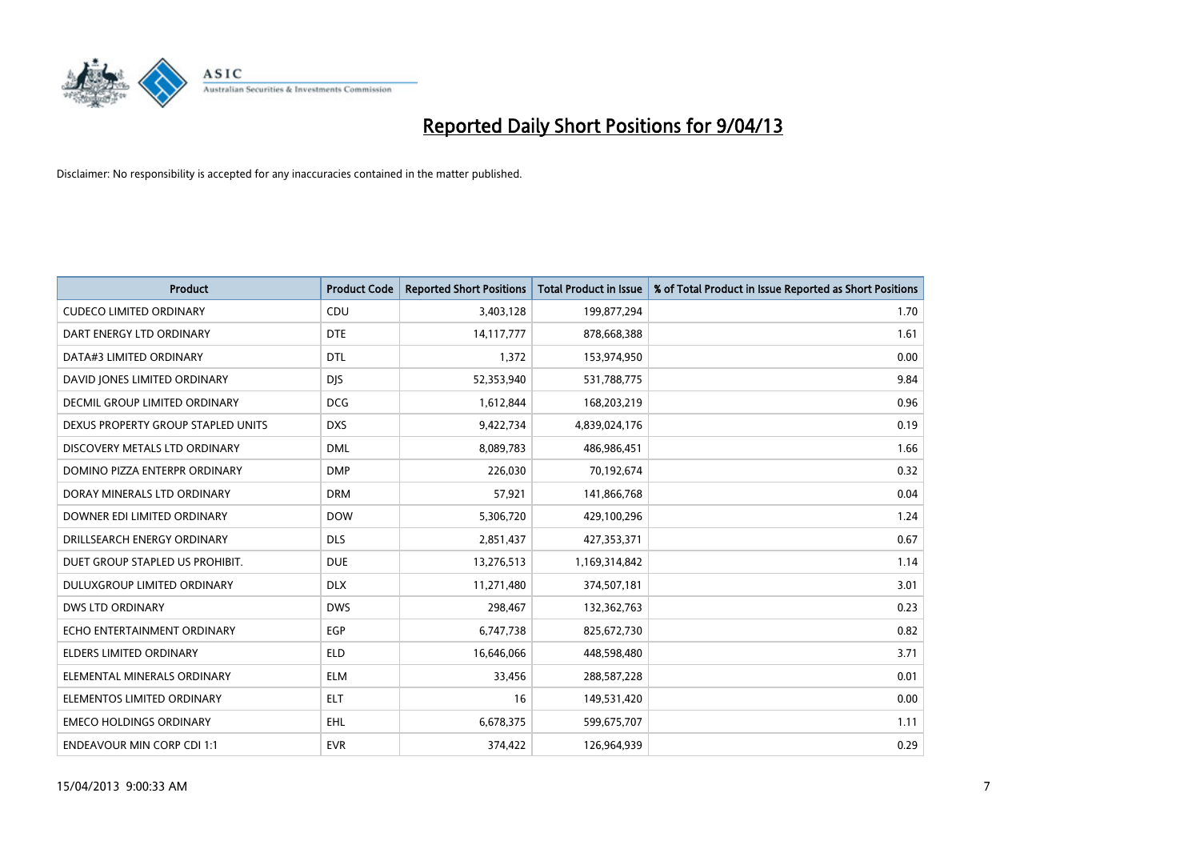

| <b>Product</b>                     | <b>Product Code</b> | <b>Reported Short Positions</b> | <b>Total Product in Issue</b> | % of Total Product in Issue Reported as Short Positions |
|------------------------------------|---------------------|---------------------------------|-------------------------------|---------------------------------------------------------|
| <b>CUDECO LIMITED ORDINARY</b>     | CDU                 | 3,403,128                       | 199,877,294                   | 1.70                                                    |
| DART ENERGY LTD ORDINARY           | <b>DTE</b>          | 14, 117, 777                    | 878,668,388                   | 1.61                                                    |
| DATA#3 LIMITED ORDINARY            | <b>DTL</b>          | 1,372                           | 153,974,950                   | 0.00                                                    |
| DAVID JONES LIMITED ORDINARY       | <b>DJS</b>          | 52,353,940                      | 531,788,775                   | 9.84                                                    |
| DECMIL GROUP LIMITED ORDINARY      | <b>DCG</b>          | 1,612,844                       | 168,203,219                   | 0.96                                                    |
| DEXUS PROPERTY GROUP STAPLED UNITS | <b>DXS</b>          | 9,422,734                       | 4,839,024,176                 | 0.19                                                    |
| DISCOVERY METALS LTD ORDINARY      | <b>DML</b>          | 8,089,783                       | 486,986,451                   | 1.66                                                    |
| DOMINO PIZZA ENTERPR ORDINARY      | <b>DMP</b>          | 226,030                         | 70,192,674                    | 0.32                                                    |
| DORAY MINERALS LTD ORDINARY        | <b>DRM</b>          | 57,921                          | 141,866,768                   | 0.04                                                    |
| DOWNER EDI LIMITED ORDINARY        | <b>DOW</b>          | 5,306,720                       | 429,100,296                   | 1.24                                                    |
| DRILLSEARCH ENERGY ORDINARY        | <b>DLS</b>          | 2,851,437                       | 427,353,371                   | 0.67                                                    |
| DUET GROUP STAPLED US PROHIBIT.    | <b>DUE</b>          | 13,276,513                      | 1,169,314,842                 | 1.14                                                    |
| DULUXGROUP LIMITED ORDINARY        | <b>DLX</b>          | 11,271,480                      | 374,507,181                   | 3.01                                                    |
| <b>DWS LTD ORDINARY</b>            | <b>DWS</b>          | 298,467                         | 132,362,763                   | 0.23                                                    |
| ECHO ENTERTAINMENT ORDINARY        | EGP                 | 6,747,738                       | 825,672,730                   | 0.82                                                    |
| ELDERS LIMITED ORDINARY            | <b>ELD</b>          | 16,646,066                      | 448,598,480                   | 3.71                                                    |
| ELEMENTAL MINERALS ORDINARY        | <b>ELM</b>          | 33,456                          | 288,587,228                   | 0.01                                                    |
| ELEMENTOS LIMITED ORDINARY         | <b>ELT</b>          | 16                              | 149,531,420                   | 0.00                                                    |
| <b>EMECO HOLDINGS ORDINARY</b>     | <b>EHL</b>          | 6,678,375                       | 599,675,707                   | 1.11                                                    |
| <b>ENDEAVOUR MIN CORP CDI 1:1</b>  | <b>EVR</b>          | 374,422                         | 126,964,939                   | 0.29                                                    |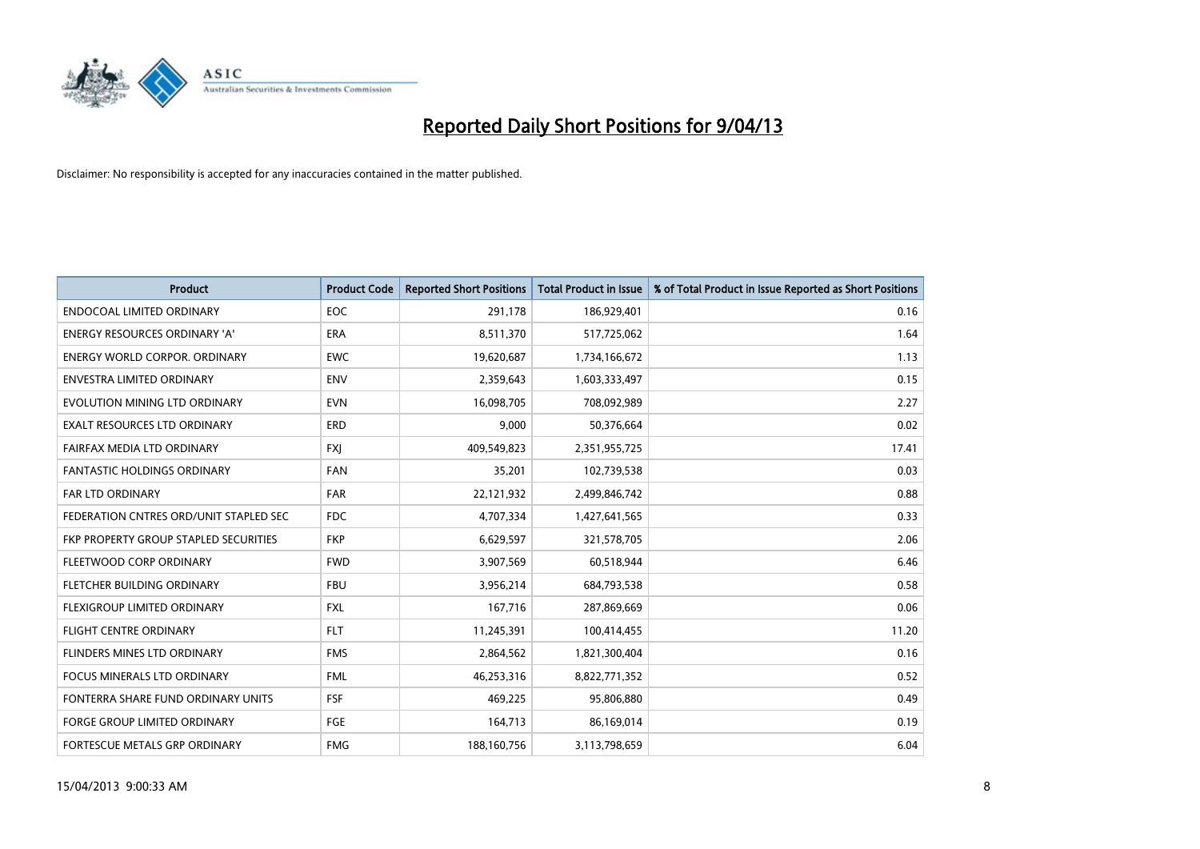

| <b>Product</b>                         | <b>Product Code</b> | <b>Reported Short Positions</b> | <b>Total Product in Issue</b> | % of Total Product in Issue Reported as Short Positions |
|----------------------------------------|---------------------|---------------------------------|-------------------------------|---------------------------------------------------------|
| <b>ENDOCOAL LIMITED ORDINARY</b>       | <b>EOC</b>          | 291,178                         | 186,929,401                   | 0.16                                                    |
| ENERGY RESOURCES ORDINARY 'A'          | ERA                 | 8,511,370                       | 517,725,062                   | 1.64                                                    |
| <b>ENERGY WORLD CORPOR, ORDINARY</b>   | <b>EWC</b>          | 19,620,687                      | 1,734,166,672                 | 1.13                                                    |
| <b>ENVESTRA LIMITED ORDINARY</b>       | <b>ENV</b>          | 2,359,643                       | 1,603,333,497                 | 0.15                                                    |
| EVOLUTION MINING LTD ORDINARY          | <b>EVN</b>          | 16,098,705                      | 708,092,989                   | 2.27                                                    |
| <b>EXALT RESOURCES LTD ORDINARY</b>    | ERD                 | 9,000                           | 50,376,664                    | 0.02                                                    |
| FAIRFAX MEDIA LTD ORDINARY             | <b>FXI</b>          | 409,549,823                     | 2,351,955,725                 | 17.41                                                   |
| FANTASTIC HOLDINGS ORDINARY            | <b>FAN</b>          | 35,201                          | 102,739,538                   | 0.03                                                    |
| <b>FAR LTD ORDINARY</b>                | <b>FAR</b>          | 22,121,932                      | 2,499,846,742                 | 0.88                                                    |
| FEDERATION CNTRES ORD/UNIT STAPLED SEC | FDC                 | 4,707,334                       | 1,427,641,565                 | 0.33                                                    |
| FKP PROPERTY GROUP STAPLED SECURITIES  | <b>FKP</b>          | 6,629,597                       | 321,578,705                   | 2.06                                                    |
| FLEETWOOD CORP ORDINARY                | <b>FWD</b>          | 3,907,569                       | 60,518,944                    | 6.46                                                    |
| FLETCHER BUILDING ORDINARY             | <b>FBU</b>          | 3,956,214                       | 684,793,538                   | 0.58                                                    |
| <b>FLEXIGROUP LIMITED ORDINARY</b>     | <b>FXL</b>          | 167,716                         | 287,869,669                   | 0.06                                                    |
| <b>FLIGHT CENTRE ORDINARY</b>          | <b>FLT</b>          | 11,245,391                      | 100,414,455                   | 11.20                                                   |
| FLINDERS MINES LTD ORDINARY            | <b>FMS</b>          | 2,864,562                       | 1,821,300,404                 | 0.16                                                    |
| FOCUS MINERALS LTD ORDINARY            | <b>FML</b>          | 46,253,316                      | 8,822,771,352                 | 0.52                                                    |
| FONTERRA SHARE FUND ORDINARY UNITS     | <b>FSF</b>          | 469,225                         | 95,806,880                    | 0.49                                                    |
| <b>FORGE GROUP LIMITED ORDINARY</b>    | FGE                 | 164,713                         | 86,169,014                    | 0.19                                                    |
| FORTESCUE METALS GRP ORDINARY          | <b>FMG</b>          | 188,160,756                     | 3,113,798,659                 | 6.04                                                    |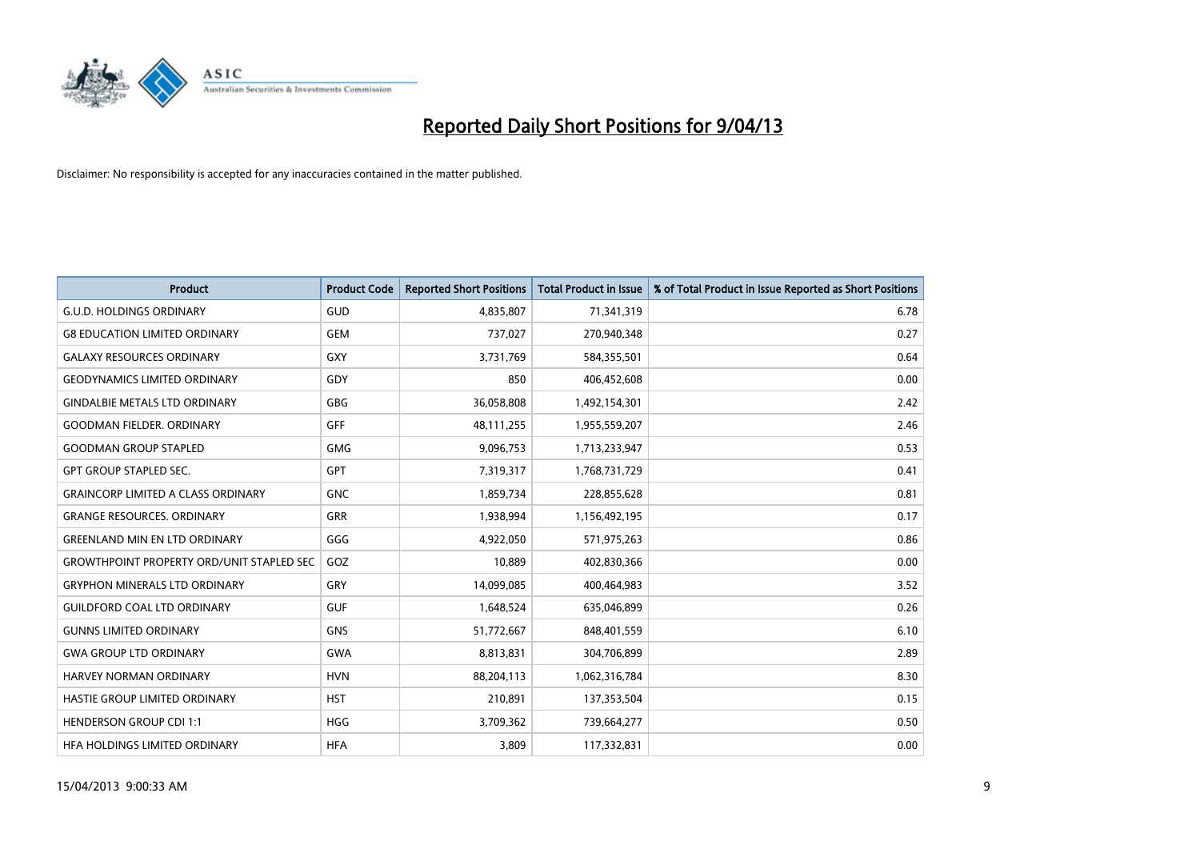

| <b>Product</b>                                   | <b>Product Code</b> | <b>Reported Short Positions</b> | <b>Total Product in Issue</b> | % of Total Product in Issue Reported as Short Positions |
|--------------------------------------------------|---------------------|---------------------------------|-------------------------------|---------------------------------------------------------|
| <b>G.U.D. HOLDINGS ORDINARY</b>                  | GUD                 | 4,835,807                       | 71,341,319                    | 6.78                                                    |
| <b>G8 EDUCATION LIMITED ORDINARY</b>             | <b>GEM</b>          | 737,027                         | 270,940,348                   | 0.27                                                    |
| <b>GALAXY RESOURCES ORDINARY</b>                 | <b>GXY</b>          | 3,731,769                       | 584,355,501                   | 0.64                                                    |
| <b>GEODYNAMICS LIMITED ORDINARY</b>              | GDY                 | 850                             | 406,452,608                   | 0.00                                                    |
| <b>GINDALBIE METALS LTD ORDINARY</b>             | GBG                 | 36,058,808                      | 1,492,154,301                 | 2.42                                                    |
| <b>GOODMAN FIELDER, ORDINARY</b>                 | GFF                 | 48,111,255                      | 1,955,559,207                 | 2.46                                                    |
| <b>GOODMAN GROUP STAPLED</b>                     | <b>GMG</b>          | 9,096,753                       | 1,713,233,947                 | 0.53                                                    |
| <b>GPT GROUP STAPLED SEC.</b>                    | GPT                 | 7,319,317                       | 1,768,731,729                 | 0.41                                                    |
| <b>GRAINCORP LIMITED A CLASS ORDINARY</b>        | <b>GNC</b>          | 1,859,734                       | 228,855,628                   | 0.81                                                    |
| <b>GRANGE RESOURCES, ORDINARY</b>                | <b>GRR</b>          | 1,938,994                       | 1,156,492,195                 | 0.17                                                    |
| <b>GREENLAND MIN EN LTD ORDINARY</b>             | GGG                 | 4,922,050                       | 571,975,263                   | 0.86                                                    |
| <b>GROWTHPOINT PROPERTY ORD/UNIT STAPLED SEC</b> | GOZ                 | 10,889                          | 402,830,366                   | 0.00                                                    |
| <b>GRYPHON MINERALS LTD ORDINARY</b>             | GRY                 | 14,099,085                      | 400,464,983                   | 3.52                                                    |
| <b>GUILDFORD COAL LTD ORDINARY</b>               | <b>GUF</b>          | 1,648,524                       | 635,046,899                   | 0.26                                                    |
| <b>GUNNS LIMITED ORDINARY</b>                    | <b>GNS</b>          | 51,772,667                      | 848,401,559                   | 6.10                                                    |
| <b>GWA GROUP LTD ORDINARY</b>                    | <b>GWA</b>          | 8,813,831                       | 304,706,899                   | 2.89                                                    |
| HARVEY NORMAN ORDINARY                           | <b>HVN</b>          | 88,204,113                      | 1,062,316,784                 | 8.30                                                    |
| HASTIE GROUP LIMITED ORDINARY                    | <b>HST</b>          | 210,891                         | 137,353,504                   | 0.15                                                    |
| <b>HENDERSON GROUP CDI 1:1</b>                   | <b>HGG</b>          | 3,709,362                       | 739,664,277                   | 0.50                                                    |
| HFA HOLDINGS LIMITED ORDINARY                    | <b>HFA</b>          | 3,809                           | 117,332,831                   | 0.00                                                    |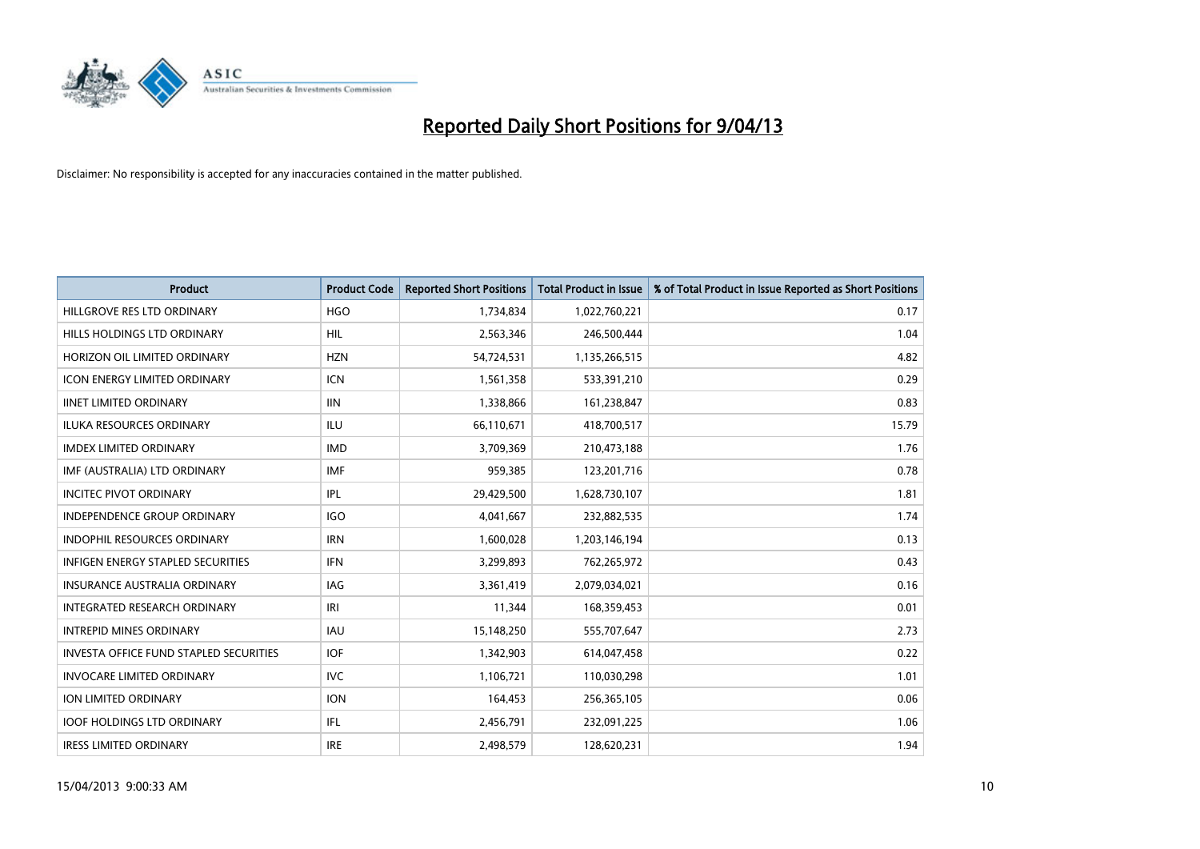

| <b>Product</b>                           | <b>Product Code</b> | <b>Reported Short Positions</b> | <b>Total Product in Issue</b> | % of Total Product in Issue Reported as Short Positions |
|------------------------------------------|---------------------|---------------------------------|-------------------------------|---------------------------------------------------------|
| HILLGROVE RES LTD ORDINARY               | <b>HGO</b>          | 1,734,834                       | 1,022,760,221                 | 0.17                                                    |
| HILLS HOLDINGS LTD ORDINARY              | HIL                 | 2,563,346                       | 246,500,444                   | 1.04                                                    |
| HORIZON OIL LIMITED ORDINARY             | <b>HZN</b>          | 54,724,531                      | 1,135,266,515                 | 4.82                                                    |
| <b>ICON ENERGY LIMITED ORDINARY</b>      | <b>ICN</b>          | 1,561,358                       | 533,391,210                   | 0.29                                                    |
| <b>IINET LIMITED ORDINARY</b>            | <b>IIN</b>          | 1,338,866                       | 161,238,847                   | 0.83                                                    |
| <b>ILUKA RESOURCES ORDINARY</b>          | <b>ILU</b>          | 66,110,671                      | 418,700,517                   | 15.79                                                   |
| <b>IMDEX LIMITED ORDINARY</b>            | <b>IMD</b>          | 3,709,369                       | 210,473,188                   | 1.76                                                    |
| IMF (AUSTRALIA) LTD ORDINARY             | <b>IMF</b>          | 959,385                         | 123,201,716                   | 0.78                                                    |
| <b>INCITEC PIVOT ORDINARY</b>            | <b>IPL</b>          | 29,429,500                      | 1,628,730,107                 | 1.81                                                    |
| <b>INDEPENDENCE GROUP ORDINARY</b>       | <b>IGO</b>          | 4,041,667                       | 232,882,535                   | 1.74                                                    |
| INDOPHIL RESOURCES ORDINARY              | <b>IRN</b>          | 1,600,028                       | 1,203,146,194                 | 0.13                                                    |
| <b>INFIGEN ENERGY STAPLED SECURITIES</b> | <b>IFN</b>          | 3,299,893                       | 762,265,972                   | 0.43                                                    |
| <b>INSURANCE AUSTRALIA ORDINARY</b>      | IAG                 | 3,361,419                       | 2,079,034,021                 | 0.16                                                    |
| INTEGRATED RESEARCH ORDINARY             | IRI                 | 11,344                          | 168,359,453                   | 0.01                                                    |
| <b>INTREPID MINES ORDINARY</b>           | <b>IAU</b>          | 15,148,250                      | 555,707,647                   | 2.73                                                    |
| INVESTA OFFICE FUND STAPLED SECURITIES   | <b>IOF</b>          | 1,342,903                       | 614,047,458                   | 0.22                                                    |
| <b>INVOCARE LIMITED ORDINARY</b>         | <b>IVC</b>          | 1,106,721                       | 110,030,298                   | 1.01                                                    |
| ION LIMITED ORDINARY                     | <b>ION</b>          | 164,453                         | 256,365,105                   | 0.06                                                    |
| <b>IOOF HOLDINGS LTD ORDINARY</b>        | IFL                 | 2,456,791                       | 232,091,225                   | 1.06                                                    |
| <b>IRESS LIMITED ORDINARY</b>            | <b>IRE</b>          | 2,498,579                       | 128,620,231                   | 1.94                                                    |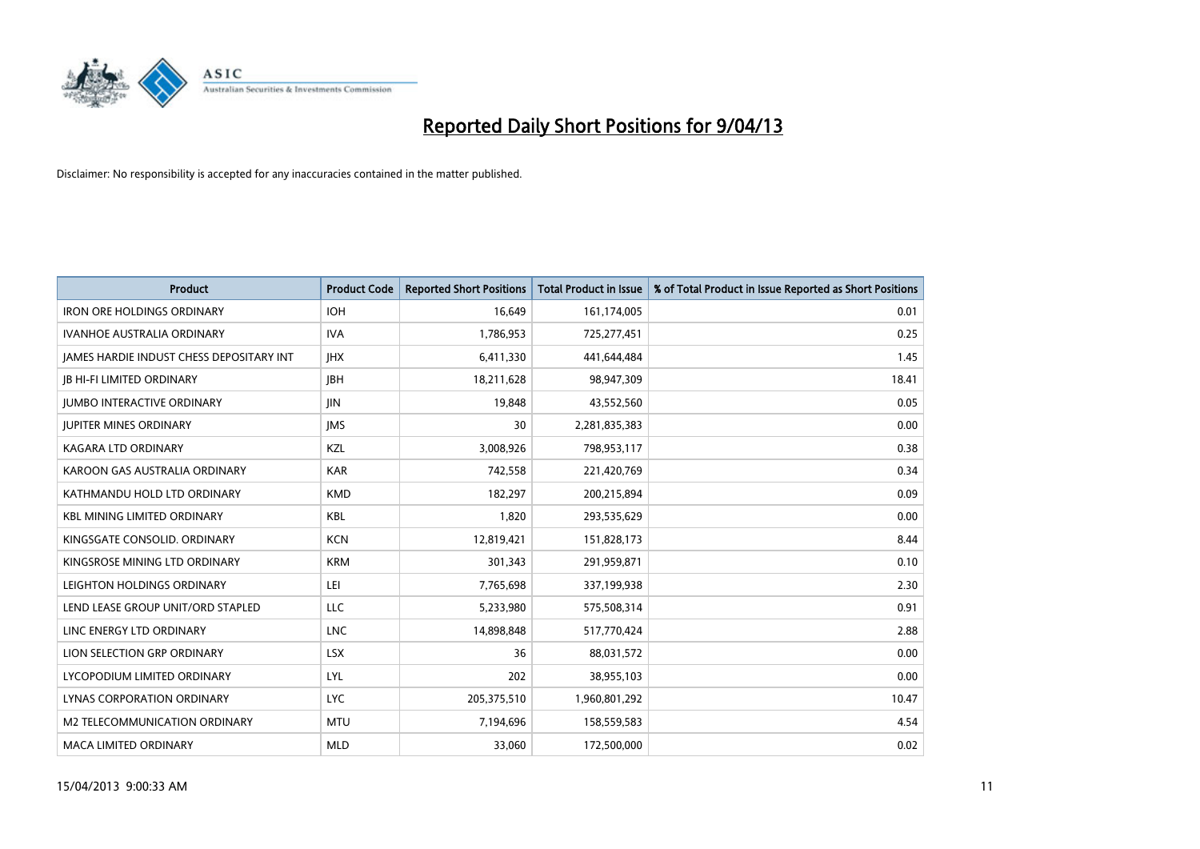

| <b>Product</b>                           | <b>Product Code</b> | <b>Reported Short Positions</b> | <b>Total Product in Issue</b> | % of Total Product in Issue Reported as Short Positions |
|------------------------------------------|---------------------|---------------------------------|-------------------------------|---------------------------------------------------------|
| <b>IRON ORE HOLDINGS ORDINARY</b>        | <b>IOH</b>          | 16,649                          | 161,174,005                   | 0.01                                                    |
| IVANHOE AUSTRALIA ORDINARY               | <b>IVA</b>          | 1,786,953                       | 725,277,451                   | 0.25                                                    |
| JAMES HARDIE INDUST CHESS DEPOSITARY INT | <b>IHX</b>          | 6,411,330                       | 441,644,484                   | 1.45                                                    |
| <b>JB HI-FI LIMITED ORDINARY</b>         | <b>JBH</b>          | 18,211,628                      | 98,947,309                    | 18.41                                                   |
| <b>JUMBO INTERACTIVE ORDINARY</b>        | <b>JIN</b>          | 19,848                          | 43,552,560                    | 0.05                                                    |
| <b>JUPITER MINES ORDINARY</b>            | <b>IMS</b>          | 30                              | 2,281,835,383                 | 0.00                                                    |
| <b>KAGARA LTD ORDINARY</b>               | KZL                 | 3,008,926                       | 798,953,117                   | 0.38                                                    |
| KAROON GAS AUSTRALIA ORDINARY            | <b>KAR</b>          | 742,558                         | 221,420,769                   | 0.34                                                    |
| KATHMANDU HOLD LTD ORDINARY              | <b>KMD</b>          | 182,297                         | 200,215,894                   | 0.09                                                    |
| <b>KBL MINING LIMITED ORDINARY</b>       | <b>KBL</b>          | 1,820                           | 293,535,629                   | 0.00                                                    |
| KINGSGATE CONSOLID. ORDINARY             | <b>KCN</b>          | 12,819,421                      | 151,828,173                   | 8.44                                                    |
| KINGSROSE MINING LTD ORDINARY            | <b>KRM</b>          | 301,343                         | 291,959,871                   | 0.10                                                    |
| LEIGHTON HOLDINGS ORDINARY               | LEI                 | 7,765,698                       | 337,199,938                   | 2.30                                                    |
| LEND LEASE GROUP UNIT/ORD STAPLED        | LLC                 | 5,233,980                       | 575,508,314                   | 0.91                                                    |
| LINC ENERGY LTD ORDINARY                 | <b>LNC</b>          | 14,898,848                      | 517,770,424                   | 2.88                                                    |
| LION SELECTION GRP ORDINARY              | <b>LSX</b>          | 36                              | 88,031,572                    | 0.00                                                    |
| LYCOPODIUM LIMITED ORDINARY              | <b>LYL</b>          | 202                             | 38,955,103                    | 0.00                                                    |
| LYNAS CORPORATION ORDINARY               | <b>LYC</b>          | 205,375,510                     | 1,960,801,292                 | 10.47                                                   |
| M2 TELECOMMUNICATION ORDINARY            | <b>MTU</b>          | 7,194,696                       | 158,559,583                   | 4.54                                                    |
| <b>MACA LIMITED ORDINARY</b>             | <b>MLD</b>          | 33,060                          | 172,500,000                   | 0.02                                                    |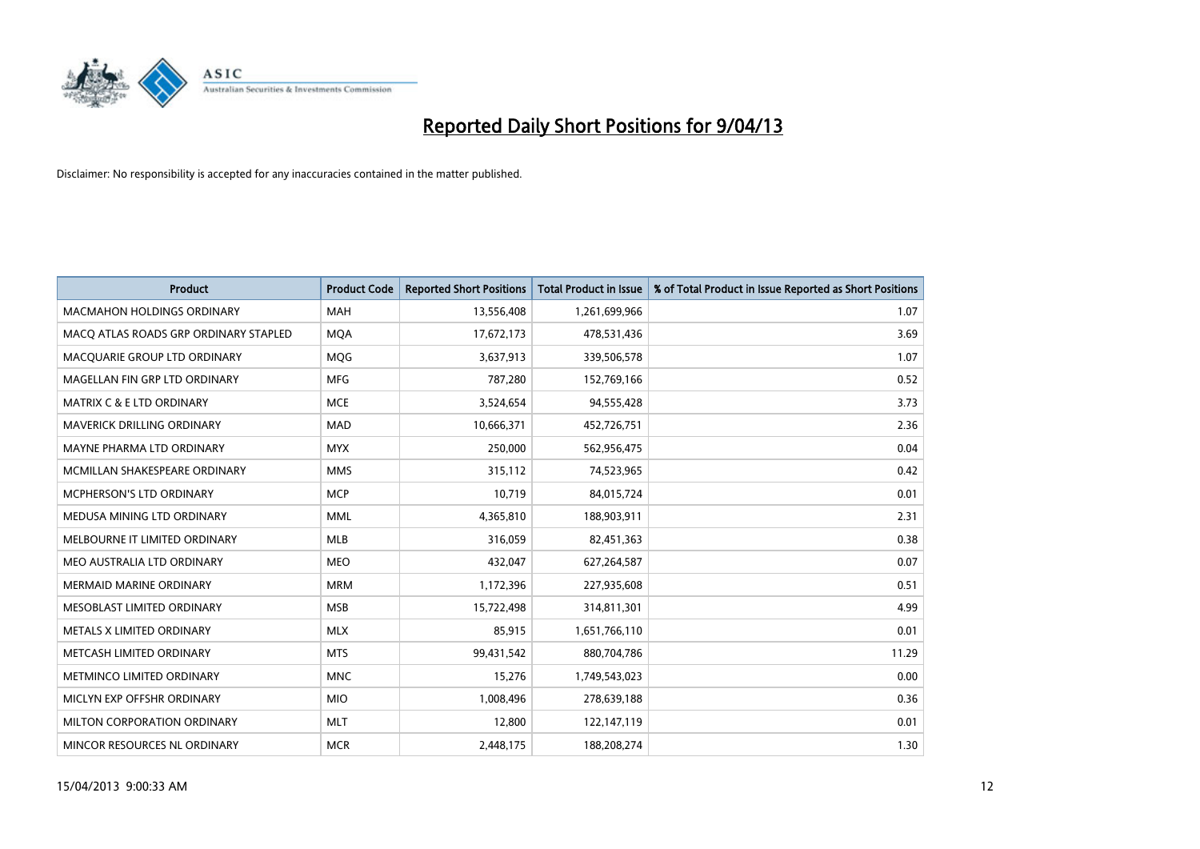

| <b>Product</b>                        | <b>Product Code</b> | <b>Reported Short Positions</b> | <b>Total Product in Issue</b> | % of Total Product in Issue Reported as Short Positions |
|---------------------------------------|---------------------|---------------------------------|-------------------------------|---------------------------------------------------------|
| <b>MACMAHON HOLDINGS ORDINARY</b>     | <b>MAH</b>          | 13,556,408                      | 1,261,699,966                 | 1.07                                                    |
| MACQ ATLAS ROADS GRP ORDINARY STAPLED | <b>MQA</b>          | 17,672,173                      | 478,531,436                   | 3.69                                                    |
| MACQUARIE GROUP LTD ORDINARY          | <b>MOG</b>          | 3,637,913                       | 339,506,578                   | 1.07                                                    |
| MAGELLAN FIN GRP LTD ORDINARY         | <b>MFG</b>          | 787,280                         | 152,769,166                   | 0.52                                                    |
| <b>MATRIX C &amp; E LTD ORDINARY</b>  | <b>MCE</b>          | 3,524,654                       | 94,555,428                    | 3.73                                                    |
| MAVERICK DRILLING ORDINARY            | <b>MAD</b>          | 10,666,371                      | 452,726,751                   | 2.36                                                    |
| MAYNE PHARMA LTD ORDINARY             | <b>MYX</b>          | 250,000                         | 562,956,475                   | 0.04                                                    |
| MCMILLAN SHAKESPEARE ORDINARY         | <b>MMS</b>          | 315,112                         | 74,523,965                    | 0.42                                                    |
| <b>MCPHERSON'S LTD ORDINARY</b>       | <b>MCP</b>          | 10,719                          | 84,015,724                    | 0.01                                                    |
| MEDUSA MINING LTD ORDINARY            | <b>MML</b>          | 4,365,810                       | 188,903,911                   | 2.31                                                    |
| MELBOURNE IT LIMITED ORDINARY         | <b>MLB</b>          | 316,059                         | 82,451,363                    | 0.38                                                    |
| MEO AUSTRALIA LTD ORDINARY            | <b>MEO</b>          | 432,047                         | 627,264,587                   | 0.07                                                    |
| <b>MERMAID MARINE ORDINARY</b>        | <b>MRM</b>          | 1,172,396                       | 227,935,608                   | 0.51                                                    |
| MESOBLAST LIMITED ORDINARY            | <b>MSB</b>          | 15,722,498                      | 314,811,301                   | 4.99                                                    |
| METALS X LIMITED ORDINARY             | <b>MLX</b>          | 85,915                          | 1,651,766,110                 | 0.01                                                    |
| METCASH LIMITED ORDINARY              | <b>MTS</b>          | 99,431,542                      | 880,704,786                   | 11.29                                                   |
| METMINCO LIMITED ORDINARY             | <b>MNC</b>          | 15,276                          | 1,749,543,023                 | 0.00                                                    |
| MICLYN EXP OFFSHR ORDINARY            | <b>MIO</b>          | 1,008,496                       | 278,639,188                   | 0.36                                                    |
| MILTON CORPORATION ORDINARY           | <b>MLT</b>          | 12,800                          | 122,147,119                   | 0.01                                                    |
| MINCOR RESOURCES NL ORDINARY          | <b>MCR</b>          | 2,448,175                       | 188,208,274                   | 1.30                                                    |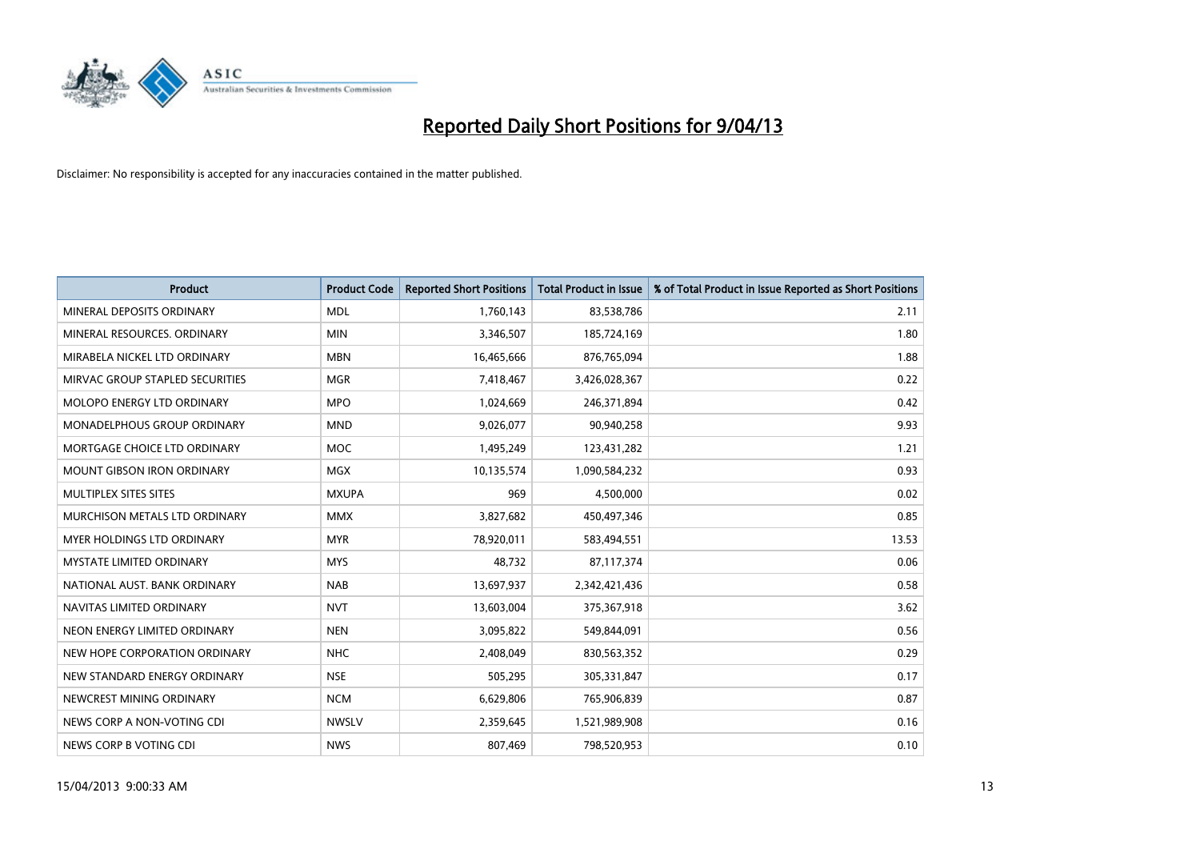

| <b>Product</b>                  | <b>Product Code</b> | <b>Reported Short Positions</b> | <b>Total Product in Issue</b> | % of Total Product in Issue Reported as Short Positions |
|---------------------------------|---------------------|---------------------------------|-------------------------------|---------------------------------------------------------|
| MINERAL DEPOSITS ORDINARY       | <b>MDL</b>          | 1,760,143                       | 83,538,786                    | 2.11                                                    |
| MINERAL RESOURCES. ORDINARY     | <b>MIN</b>          | 3,346,507                       | 185,724,169                   | 1.80                                                    |
| MIRABELA NICKEL LTD ORDINARY    | <b>MBN</b>          | 16,465,666                      | 876,765,094                   | 1.88                                                    |
| MIRVAC GROUP STAPLED SECURITIES | <b>MGR</b>          | 7,418,467                       | 3,426,028,367                 | 0.22                                                    |
| MOLOPO ENERGY LTD ORDINARY      | <b>MPO</b>          | 1,024,669                       | 246,371,894                   | 0.42                                                    |
| MONADELPHOUS GROUP ORDINARY     | <b>MND</b>          | 9,026,077                       | 90,940,258                    | 9.93                                                    |
| MORTGAGE CHOICE LTD ORDINARY    | MOC                 | 1,495,249                       | 123,431,282                   | 1.21                                                    |
| MOUNT GIBSON IRON ORDINARY      | <b>MGX</b>          | 10,135,574                      | 1,090,584,232                 | 0.93                                                    |
| MULTIPLEX SITES SITES           | <b>MXUPA</b>        | 969                             | 4,500,000                     | 0.02                                                    |
| MURCHISON METALS LTD ORDINARY   | <b>MMX</b>          | 3,827,682                       | 450,497,346                   | 0.85                                                    |
| MYER HOLDINGS LTD ORDINARY      | <b>MYR</b>          | 78,920,011                      | 583,494,551                   | 13.53                                                   |
| <b>MYSTATE LIMITED ORDINARY</b> | <b>MYS</b>          | 48,732                          | 87,117,374                    | 0.06                                                    |
| NATIONAL AUST, BANK ORDINARY    | <b>NAB</b>          | 13,697,937                      | 2,342,421,436                 | 0.58                                                    |
| NAVITAS LIMITED ORDINARY        | <b>NVT</b>          | 13,603,004                      | 375,367,918                   | 3.62                                                    |
| NEON ENERGY LIMITED ORDINARY    | <b>NEN</b>          | 3,095,822                       | 549,844,091                   | 0.56                                                    |
| NEW HOPE CORPORATION ORDINARY   | <b>NHC</b>          | 2,408,049                       | 830,563,352                   | 0.29                                                    |
| NEW STANDARD ENERGY ORDINARY    | <b>NSE</b>          | 505,295                         | 305,331,847                   | 0.17                                                    |
| NEWCREST MINING ORDINARY        | <b>NCM</b>          | 6,629,806                       | 765,906,839                   | 0.87                                                    |
| NEWS CORP A NON-VOTING CDI      | <b>NWSLV</b>        | 2,359,645                       | 1,521,989,908                 | 0.16                                                    |
| NEWS CORP B VOTING CDI          | <b>NWS</b>          | 807,469                         | 798,520,953                   | 0.10                                                    |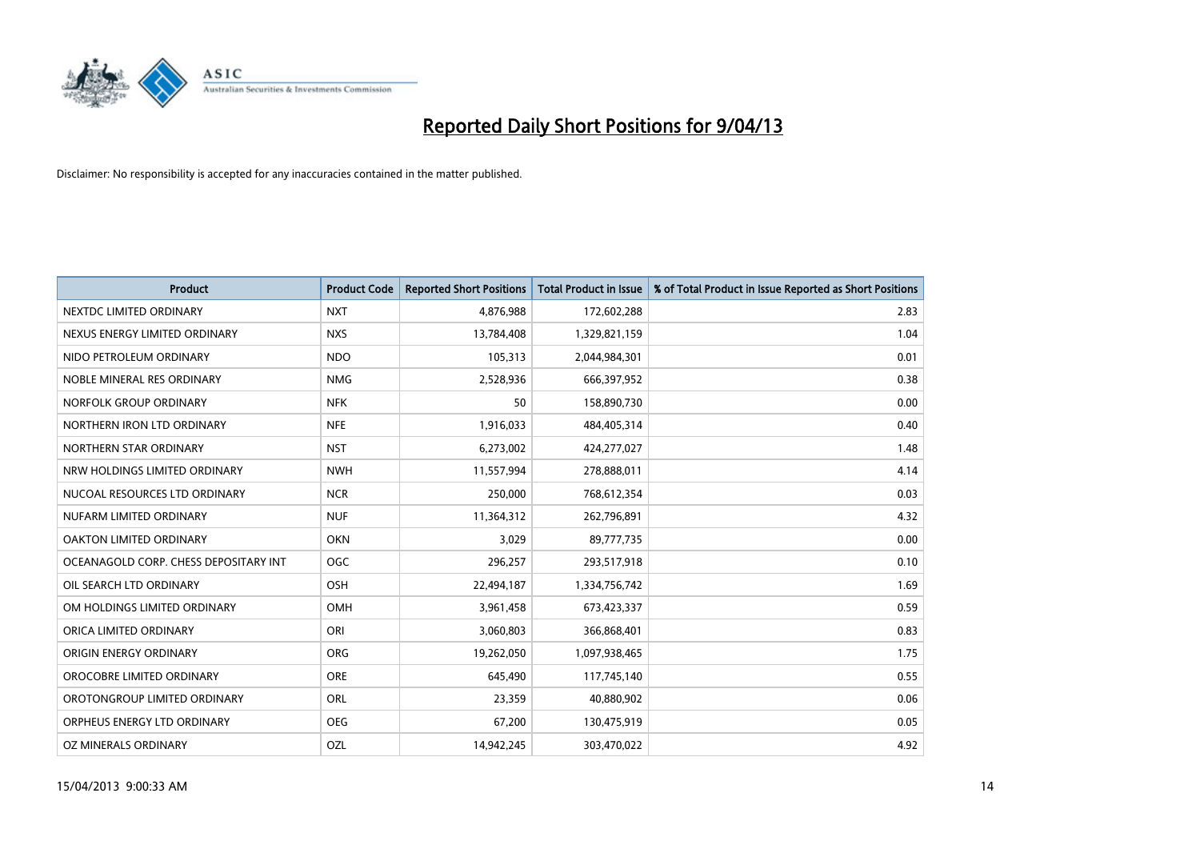

| <b>Product</b>                        | <b>Product Code</b> | <b>Reported Short Positions</b> | <b>Total Product in Issue</b> | % of Total Product in Issue Reported as Short Positions |
|---------------------------------------|---------------------|---------------------------------|-------------------------------|---------------------------------------------------------|
| NEXTDC LIMITED ORDINARY               | <b>NXT</b>          | 4,876,988                       | 172,602,288                   | 2.83                                                    |
| NEXUS ENERGY LIMITED ORDINARY         | <b>NXS</b>          | 13,784,408                      | 1,329,821,159                 | 1.04                                                    |
| NIDO PETROLEUM ORDINARY               | <b>NDO</b>          | 105,313                         | 2,044,984,301                 | 0.01                                                    |
| NOBLE MINERAL RES ORDINARY            | <b>NMG</b>          | 2,528,936                       | 666,397,952                   | 0.38                                                    |
| NORFOLK GROUP ORDINARY                | <b>NFK</b>          | 50                              | 158,890,730                   | 0.00                                                    |
| NORTHERN IRON LTD ORDINARY            | <b>NFE</b>          | 1,916,033                       | 484,405,314                   | 0.40                                                    |
| NORTHERN STAR ORDINARY                | <b>NST</b>          | 6,273,002                       | 424,277,027                   | 1.48                                                    |
| NRW HOLDINGS LIMITED ORDINARY         | <b>NWH</b>          | 11,557,994                      | 278,888,011                   | 4.14                                                    |
| NUCOAL RESOURCES LTD ORDINARY         | <b>NCR</b>          | 250,000                         | 768,612,354                   | 0.03                                                    |
| NUFARM LIMITED ORDINARY               | <b>NUF</b>          | 11,364,312                      | 262,796,891                   | 4.32                                                    |
| OAKTON LIMITED ORDINARY               | <b>OKN</b>          | 3,029                           | 89,777,735                    | 0.00                                                    |
| OCEANAGOLD CORP. CHESS DEPOSITARY INT | <b>OGC</b>          | 296,257                         | 293,517,918                   | 0.10                                                    |
| OIL SEARCH LTD ORDINARY               | OSH                 | 22,494,187                      | 1,334,756,742                 | 1.69                                                    |
| OM HOLDINGS LIMITED ORDINARY          | OMH                 | 3,961,458                       | 673,423,337                   | 0.59                                                    |
| ORICA LIMITED ORDINARY                | ORI                 | 3,060,803                       | 366,868,401                   | 0.83                                                    |
| ORIGIN ENERGY ORDINARY                | ORG                 | 19,262,050                      | 1,097,938,465                 | 1.75                                                    |
| OROCOBRE LIMITED ORDINARY             | <b>ORE</b>          | 645,490                         | 117,745,140                   | 0.55                                                    |
| OROTONGROUP LIMITED ORDINARY          | ORL                 | 23,359                          | 40,880,902                    | 0.06                                                    |
| ORPHEUS ENERGY LTD ORDINARY           | <b>OEG</b>          | 67,200                          | 130,475,919                   | 0.05                                                    |
| OZ MINERALS ORDINARY                  | OZL                 | 14,942,245                      | 303,470,022                   | 4.92                                                    |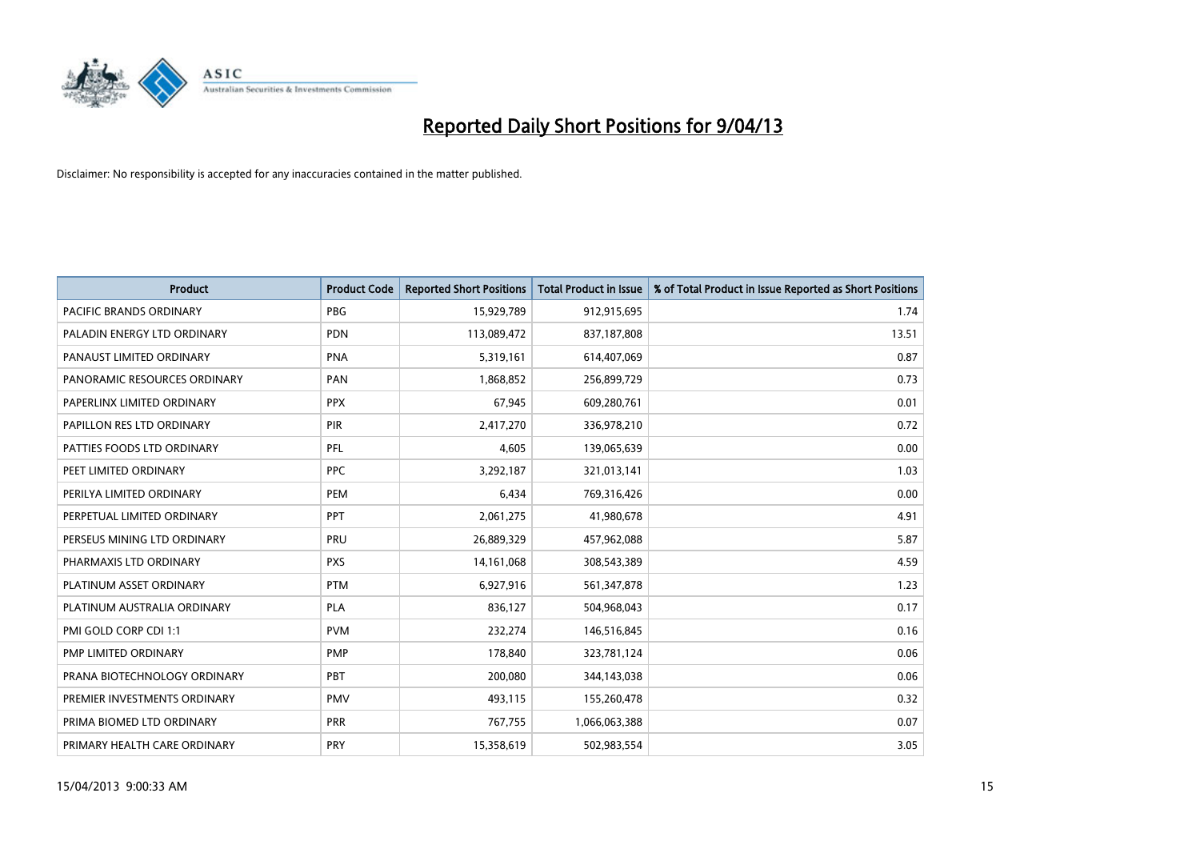

| <b>Product</b>                 | <b>Product Code</b> | <b>Reported Short Positions</b> | <b>Total Product in Issue</b> | % of Total Product in Issue Reported as Short Positions |
|--------------------------------|---------------------|---------------------------------|-------------------------------|---------------------------------------------------------|
| <b>PACIFIC BRANDS ORDINARY</b> | <b>PBG</b>          | 15,929,789                      | 912,915,695                   | 1.74                                                    |
| PALADIN ENERGY LTD ORDINARY    | <b>PDN</b>          | 113,089,472                     | 837,187,808                   | 13.51                                                   |
| PANAUST LIMITED ORDINARY       | <b>PNA</b>          | 5,319,161                       | 614,407,069                   | 0.87                                                    |
| PANORAMIC RESOURCES ORDINARY   | PAN                 | 1,868,852                       | 256,899,729                   | 0.73                                                    |
| PAPERLINX LIMITED ORDINARY     | <b>PPX</b>          | 67,945                          | 609,280,761                   | 0.01                                                    |
| PAPILLON RES LTD ORDINARY      | PIR                 | 2,417,270                       | 336,978,210                   | 0.72                                                    |
| PATTIES FOODS LTD ORDINARY     | PFL                 | 4,605                           | 139,065,639                   | 0.00                                                    |
| PEET LIMITED ORDINARY          | <b>PPC</b>          | 3,292,187                       | 321,013,141                   | 1.03                                                    |
| PERILYA LIMITED ORDINARY       | <b>PEM</b>          | 6,434                           | 769,316,426                   | 0.00                                                    |
| PERPETUAL LIMITED ORDINARY     | PPT                 | 2,061,275                       | 41,980,678                    | 4.91                                                    |
| PERSEUS MINING LTD ORDINARY    | <b>PRU</b>          | 26,889,329                      | 457,962,088                   | 5.87                                                    |
| PHARMAXIS LTD ORDINARY         | <b>PXS</b>          | 14, 161, 068                    | 308,543,389                   | 4.59                                                    |
| PLATINUM ASSET ORDINARY        | <b>PTM</b>          | 6,927,916                       | 561,347,878                   | 1.23                                                    |
| PLATINUM AUSTRALIA ORDINARY    | <b>PLA</b>          | 836,127                         | 504,968,043                   | 0.17                                                    |
| PMI GOLD CORP CDI 1:1          | <b>PVM</b>          | 232,274                         | 146,516,845                   | 0.16                                                    |
| PMP LIMITED ORDINARY           | <b>PMP</b>          | 178,840                         | 323,781,124                   | 0.06                                                    |
| PRANA BIOTECHNOLOGY ORDINARY   | <b>PBT</b>          | 200,080                         | 344,143,038                   | 0.06                                                    |
| PREMIER INVESTMENTS ORDINARY   | <b>PMV</b>          | 493,115                         | 155,260,478                   | 0.32                                                    |
| PRIMA BIOMED LTD ORDINARY      | <b>PRR</b>          | 767,755                         | 1,066,063,388                 | 0.07                                                    |
| PRIMARY HEALTH CARE ORDINARY   | <b>PRY</b>          | 15,358,619                      | 502,983,554                   | 3.05                                                    |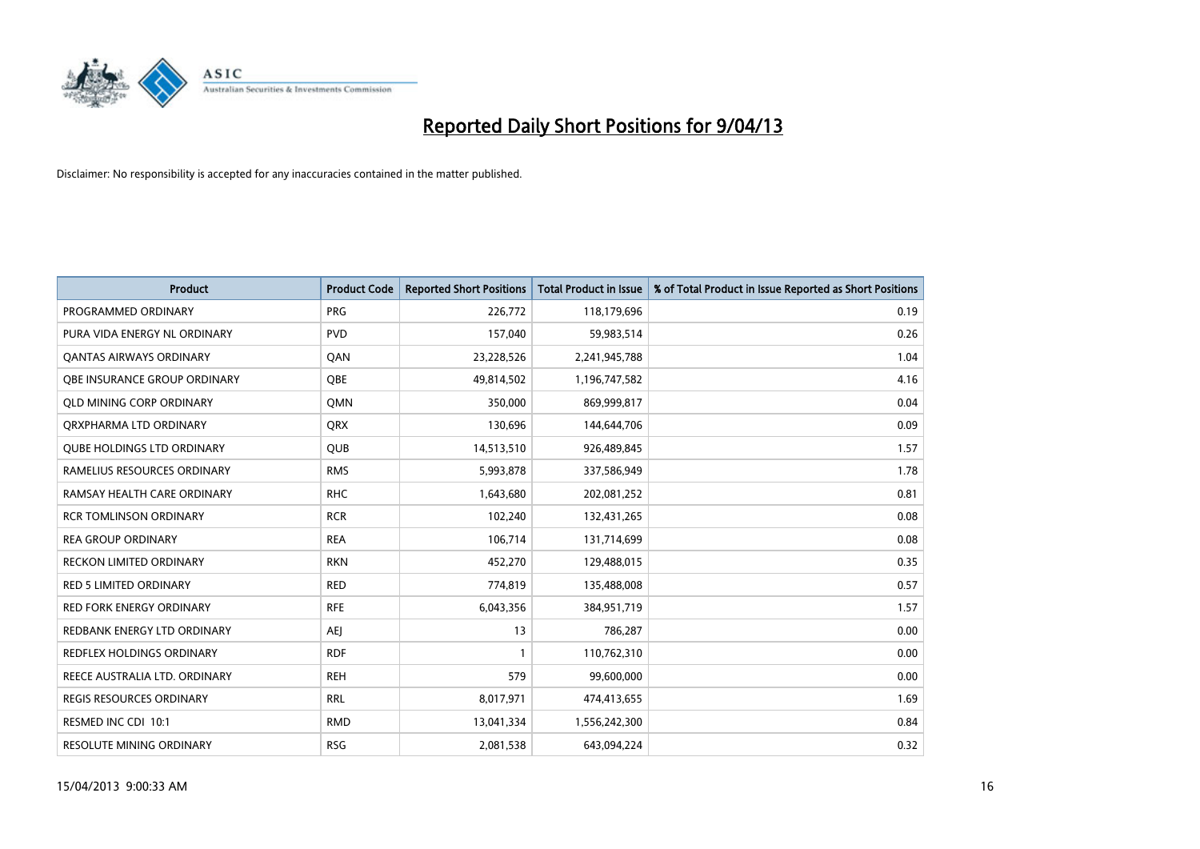

| <b>Product</b>                    | <b>Product Code</b> | <b>Reported Short Positions</b> | <b>Total Product in Issue</b> | % of Total Product in Issue Reported as Short Positions |
|-----------------------------------|---------------------|---------------------------------|-------------------------------|---------------------------------------------------------|
| PROGRAMMED ORDINARY               | <b>PRG</b>          | 226,772                         | 118,179,696                   | 0.19                                                    |
| PURA VIDA ENERGY NL ORDINARY      | <b>PVD</b>          | 157,040                         | 59,983,514                    | 0.26                                                    |
| OANTAS AIRWAYS ORDINARY           | QAN                 | 23,228,526                      | 2,241,945,788                 | 1.04                                                    |
| OBE INSURANCE GROUP ORDINARY      | <b>OBE</b>          | 49,814,502                      | 1,196,747,582                 | 4.16                                                    |
| <b>QLD MINING CORP ORDINARY</b>   | <b>OMN</b>          | 350,000                         | 869,999,817                   | 0.04                                                    |
| ORXPHARMA LTD ORDINARY            | <b>QRX</b>          | 130,696                         | 144,644,706                   | 0.09                                                    |
| <b>QUBE HOLDINGS LTD ORDINARY</b> | <b>QUB</b>          | 14,513,510                      | 926,489,845                   | 1.57                                                    |
| RAMELIUS RESOURCES ORDINARY       | <b>RMS</b>          | 5,993,878                       | 337,586,949                   | 1.78                                                    |
| RAMSAY HEALTH CARE ORDINARY       | <b>RHC</b>          | 1,643,680                       | 202,081,252                   | 0.81                                                    |
| <b>RCR TOMLINSON ORDINARY</b>     | <b>RCR</b>          | 102,240                         | 132,431,265                   | 0.08                                                    |
| <b>REA GROUP ORDINARY</b>         | <b>REA</b>          | 106,714                         | 131,714,699                   | 0.08                                                    |
| <b>RECKON LIMITED ORDINARY</b>    | <b>RKN</b>          | 452,270                         | 129,488,015                   | 0.35                                                    |
| <b>RED 5 LIMITED ORDINARY</b>     | <b>RED</b>          | 774,819                         | 135,488,008                   | 0.57                                                    |
| <b>RED FORK ENERGY ORDINARY</b>   | <b>RFE</b>          | 6,043,356                       | 384,951,719                   | 1.57                                                    |
| REDBANK ENERGY LTD ORDINARY       | <b>AEJ</b>          | 13                              | 786,287                       | 0.00                                                    |
| REDFLEX HOLDINGS ORDINARY         | <b>RDF</b>          | $\mathbf{1}$                    | 110,762,310                   | 0.00                                                    |
| REECE AUSTRALIA LTD. ORDINARY     | <b>REH</b>          | 579                             | 99,600,000                    | 0.00                                                    |
| <b>REGIS RESOURCES ORDINARY</b>   | <b>RRL</b>          | 8,017,971                       | 474,413,655                   | 1.69                                                    |
| RESMED INC CDI 10:1               | <b>RMD</b>          | 13,041,334                      | 1,556,242,300                 | 0.84                                                    |
| RESOLUTE MINING ORDINARY          | <b>RSG</b>          | 2,081,538                       | 643,094,224                   | 0.32                                                    |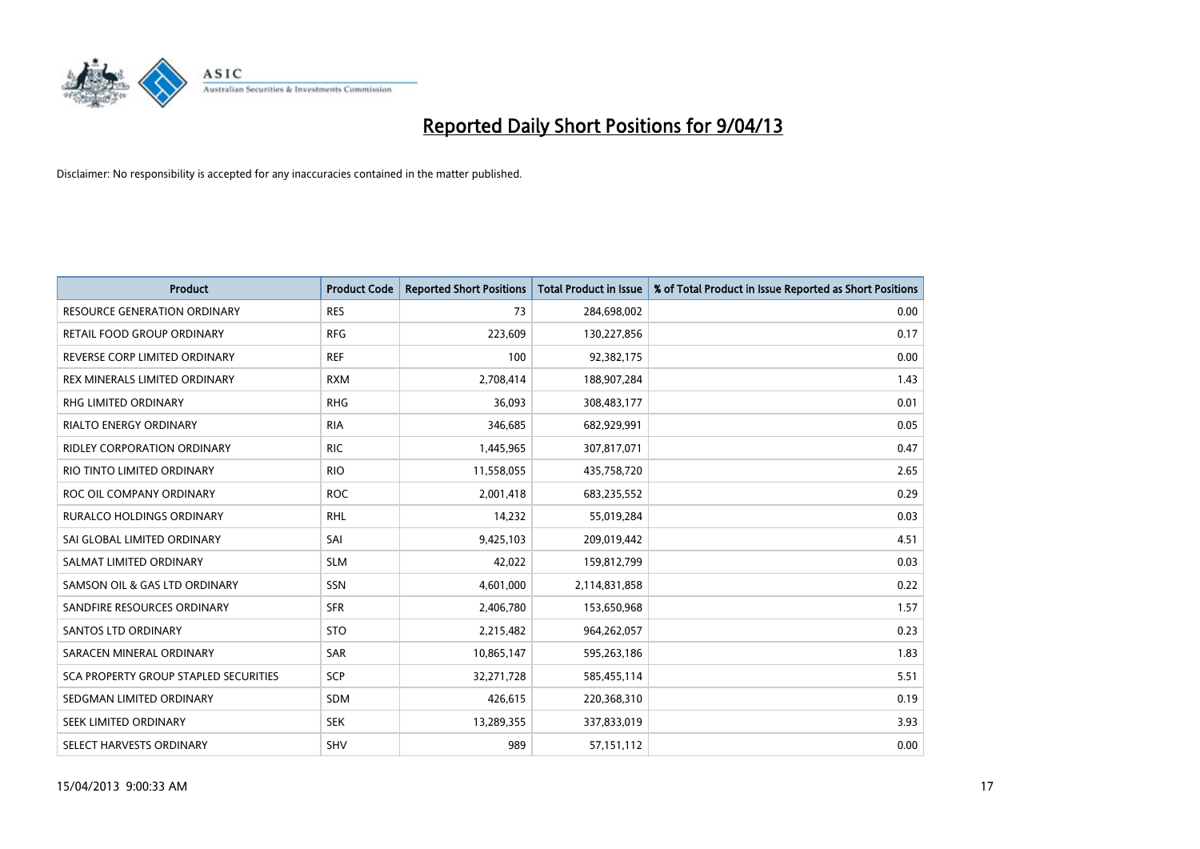

| <b>Product</b>                        | <b>Product Code</b> | <b>Reported Short Positions</b> | <b>Total Product in Issue</b> | % of Total Product in Issue Reported as Short Positions |
|---------------------------------------|---------------------|---------------------------------|-------------------------------|---------------------------------------------------------|
| <b>RESOURCE GENERATION ORDINARY</b>   | <b>RES</b>          | 73                              | 284,698,002                   | 0.00                                                    |
| <b>RETAIL FOOD GROUP ORDINARY</b>     | <b>RFG</b>          | 223,609                         | 130,227,856                   | 0.17                                                    |
| REVERSE CORP LIMITED ORDINARY         | <b>REF</b>          | 100                             | 92,382,175                    | 0.00                                                    |
| REX MINERALS LIMITED ORDINARY         | <b>RXM</b>          | 2,708,414                       | 188,907,284                   | 1.43                                                    |
| <b>RHG LIMITED ORDINARY</b>           | <b>RHG</b>          | 36,093                          | 308,483,177                   | 0.01                                                    |
| RIALTO ENERGY ORDINARY                | <b>RIA</b>          | 346,685                         | 682,929,991                   | 0.05                                                    |
| <b>RIDLEY CORPORATION ORDINARY</b>    | <b>RIC</b>          | 1,445,965                       | 307,817,071                   | 0.47                                                    |
| RIO TINTO LIMITED ORDINARY            | <b>RIO</b>          | 11,558,055                      | 435,758,720                   | 2.65                                                    |
| ROC OIL COMPANY ORDINARY              | <b>ROC</b>          | 2,001,418                       | 683,235,552                   | 0.29                                                    |
| <b>RURALCO HOLDINGS ORDINARY</b>      | <b>RHL</b>          | 14,232                          | 55,019,284                    | 0.03                                                    |
| SAI GLOBAL LIMITED ORDINARY           | SAI                 | 9,425,103                       | 209,019,442                   | 4.51                                                    |
| SALMAT LIMITED ORDINARY               | <b>SLM</b>          | 42,022                          | 159,812,799                   | 0.03                                                    |
| SAMSON OIL & GAS LTD ORDINARY         | SSN                 | 4,601,000                       | 2,114,831,858                 | 0.22                                                    |
| SANDFIRE RESOURCES ORDINARY           | <b>SFR</b>          | 2,406,780                       | 153,650,968                   | 1.57                                                    |
| SANTOS LTD ORDINARY                   | <b>STO</b>          | 2,215,482                       | 964,262,057                   | 0.23                                                    |
| SARACEN MINERAL ORDINARY              | <b>SAR</b>          | 10,865,147                      | 595,263,186                   | 1.83                                                    |
| SCA PROPERTY GROUP STAPLED SECURITIES | <b>SCP</b>          | 32,271,728                      | 585,455,114                   | 5.51                                                    |
| SEDGMAN LIMITED ORDINARY              | <b>SDM</b>          | 426,615                         | 220,368,310                   | 0.19                                                    |
| SEEK LIMITED ORDINARY                 | <b>SEK</b>          | 13,289,355                      | 337,833,019                   | 3.93                                                    |
| SELECT HARVESTS ORDINARY              | <b>SHV</b>          | 989                             | 57,151,112                    | 0.00                                                    |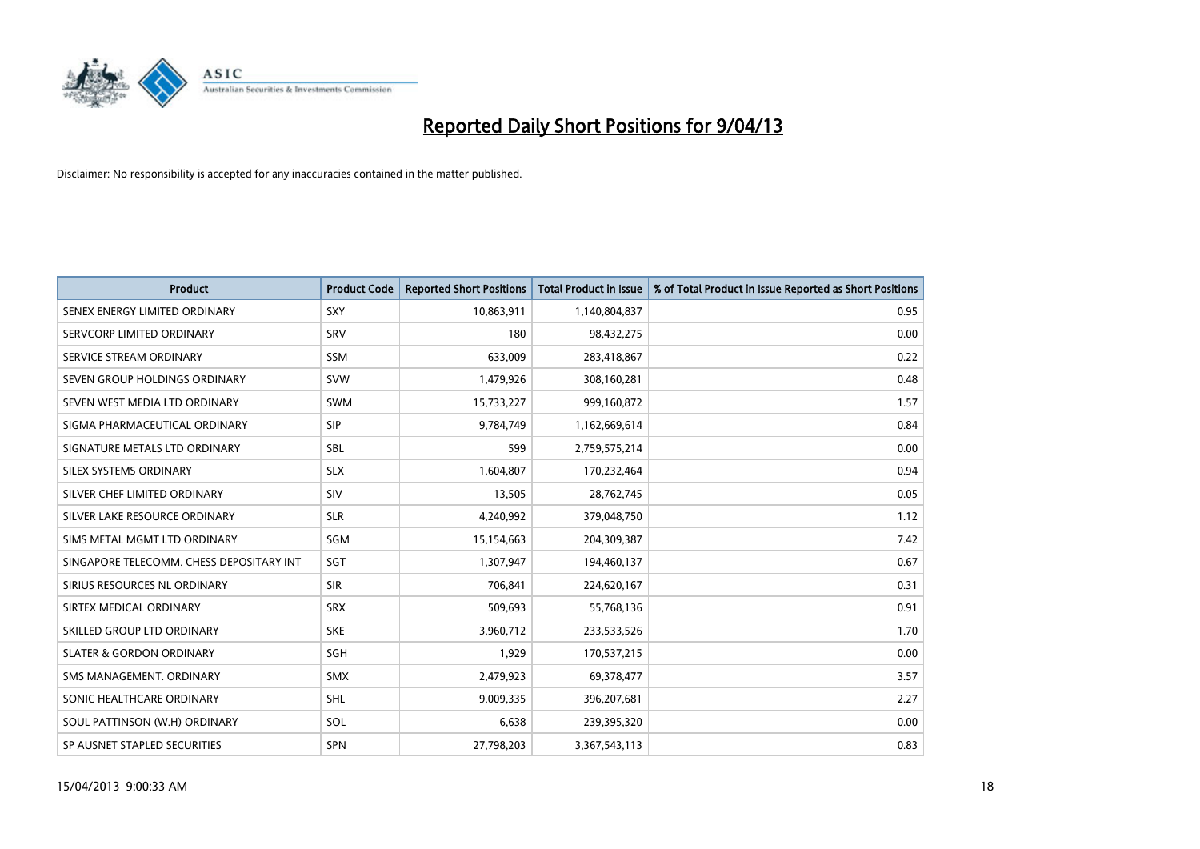

| <b>Product</b>                           | <b>Product Code</b> | <b>Reported Short Positions</b> | <b>Total Product in Issue</b> | % of Total Product in Issue Reported as Short Positions |
|------------------------------------------|---------------------|---------------------------------|-------------------------------|---------------------------------------------------------|
| SENEX ENERGY LIMITED ORDINARY            | SXY                 | 10,863,911                      | 1,140,804,837                 | 0.95                                                    |
| SERVCORP LIMITED ORDINARY                | <b>SRV</b>          | 180                             | 98,432,275                    | 0.00                                                    |
| SERVICE STREAM ORDINARY                  | <b>SSM</b>          | 633,009                         | 283,418,867                   | 0.22                                                    |
| SEVEN GROUP HOLDINGS ORDINARY            | <b>SVW</b>          | 1,479,926                       | 308,160,281                   | 0.48                                                    |
| SEVEN WEST MEDIA LTD ORDINARY            | <b>SWM</b>          | 15,733,227                      | 999,160,872                   | 1.57                                                    |
| SIGMA PHARMACEUTICAL ORDINARY            | <b>SIP</b>          | 9,784,749                       | 1,162,669,614                 | 0.84                                                    |
| SIGNATURE METALS LTD ORDINARY            | <b>SBL</b>          | 599                             | 2,759,575,214                 | 0.00                                                    |
| SILEX SYSTEMS ORDINARY                   | <b>SLX</b>          | 1,604,807                       | 170,232,464                   | 0.94                                                    |
| SILVER CHEF LIMITED ORDINARY             | SIV                 | 13,505                          | 28,762,745                    | 0.05                                                    |
| SILVER LAKE RESOURCE ORDINARY            | <b>SLR</b>          | 4,240,992                       | 379,048,750                   | 1.12                                                    |
| SIMS METAL MGMT LTD ORDINARY             | SGM                 | 15,154,663                      | 204,309,387                   | 7.42                                                    |
| SINGAPORE TELECOMM. CHESS DEPOSITARY INT | <b>SGT</b>          | 1,307,947                       | 194,460,137                   | 0.67                                                    |
| SIRIUS RESOURCES NL ORDINARY             | <b>SIR</b>          | 706,841                         | 224,620,167                   | 0.31                                                    |
| SIRTEX MEDICAL ORDINARY                  | <b>SRX</b>          | 509,693                         | 55,768,136                    | 0.91                                                    |
| SKILLED GROUP LTD ORDINARY               | <b>SKE</b>          | 3,960,712                       | 233,533,526                   | 1.70                                                    |
| <b>SLATER &amp; GORDON ORDINARY</b>      | SGH                 | 1,929                           | 170,537,215                   | 0.00                                                    |
| SMS MANAGEMENT. ORDINARY                 | <b>SMX</b>          | 2,479,923                       | 69,378,477                    | 3.57                                                    |
| SONIC HEALTHCARE ORDINARY                | <b>SHL</b>          | 9,009,335                       | 396,207,681                   | 2.27                                                    |
| SOUL PATTINSON (W.H) ORDINARY            | SOL                 | 6,638                           | 239,395,320                   | 0.00                                                    |
| SP AUSNET STAPLED SECURITIES             | SPN                 | 27,798,203                      | 3,367,543,113                 | 0.83                                                    |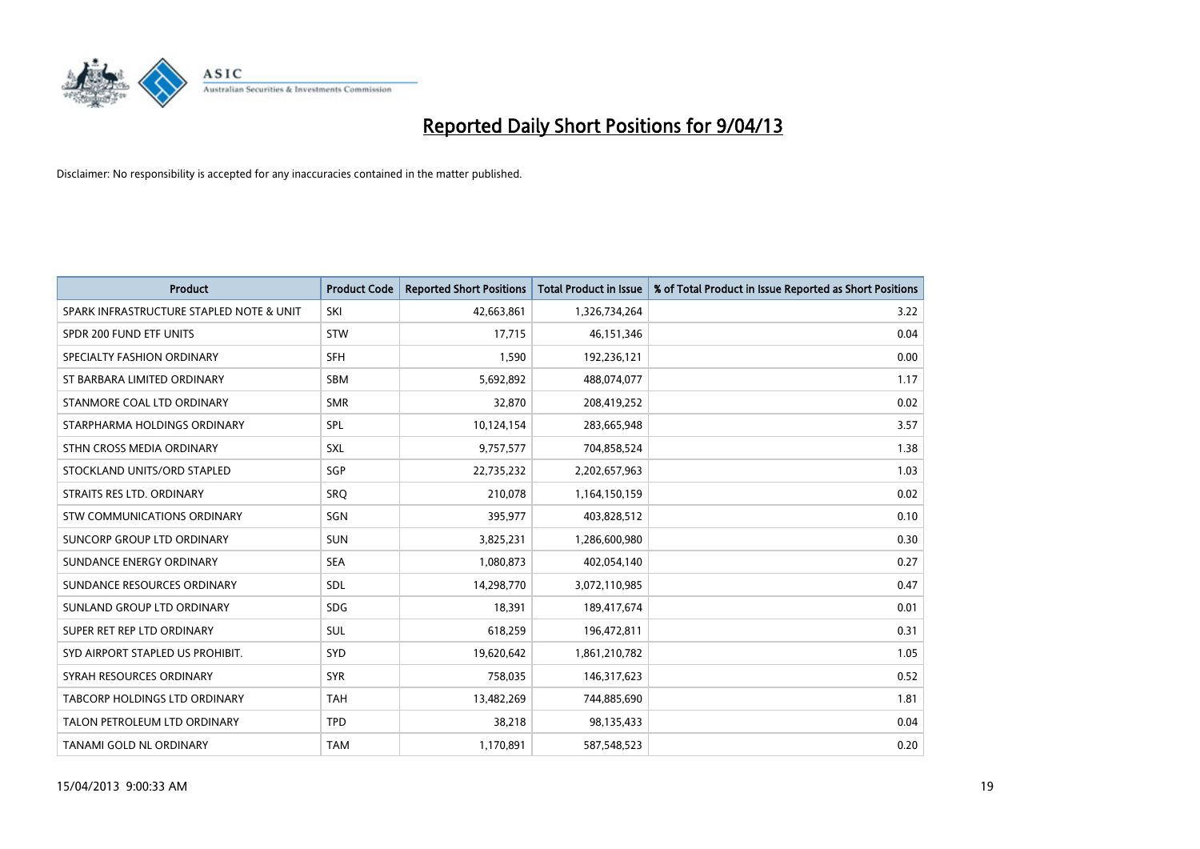

| <b>Product</b>                           | <b>Product Code</b> | <b>Reported Short Positions</b> | <b>Total Product in Issue</b> | % of Total Product in Issue Reported as Short Positions |
|------------------------------------------|---------------------|---------------------------------|-------------------------------|---------------------------------------------------------|
| SPARK INFRASTRUCTURE STAPLED NOTE & UNIT | SKI                 | 42,663,861                      | 1,326,734,264                 | 3.22                                                    |
| SPDR 200 FUND ETF UNITS                  | <b>STW</b>          | 17,715                          | 46,151,346                    | 0.04                                                    |
| SPECIALTY FASHION ORDINARY               | <b>SFH</b>          | 1,590                           | 192,236,121                   | 0.00                                                    |
| ST BARBARA LIMITED ORDINARY              | <b>SBM</b>          | 5,692,892                       | 488,074,077                   | 1.17                                                    |
| STANMORE COAL LTD ORDINARY               | <b>SMR</b>          | 32,870                          | 208,419,252                   | 0.02                                                    |
| STARPHARMA HOLDINGS ORDINARY             | SPL                 | 10,124,154                      | 283,665,948                   | 3.57                                                    |
| STHN CROSS MEDIA ORDINARY                | <b>SXL</b>          | 9,757,577                       | 704,858,524                   | 1.38                                                    |
| STOCKLAND UNITS/ORD STAPLED              | SGP                 | 22,735,232                      | 2,202,657,963                 | 1.03                                                    |
| STRAITS RES LTD. ORDINARY                | SRO                 | 210,078                         | 1,164,150,159                 | 0.02                                                    |
| STW COMMUNICATIONS ORDINARY              | SGN                 | 395,977                         | 403,828,512                   | 0.10                                                    |
| SUNCORP GROUP LTD ORDINARY               | <b>SUN</b>          | 3,825,231                       | 1,286,600,980                 | 0.30                                                    |
| SUNDANCE ENERGY ORDINARY                 | <b>SEA</b>          | 1,080,873                       | 402,054,140                   | 0.27                                                    |
| SUNDANCE RESOURCES ORDINARY              | SDL                 | 14,298,770                      | 3,072,110,985                 | 0.47                                                    |
| SUNLAND GROUP LTD ORDINARY               | <b>SDG</b>          | 18,391                          | 189,417,674                   | 0.01                                                    |
| SUPER RET REP LTD ORDINARY               | <b>SUL</b>          | 618,259                         | 196,472,811                   | 0.31                                                    |
| SYD AIRPORT STAPLED US PROHIBIT.         | SYD                 | 19,620,642                      | 1,861,210,782                 | 1.05                                                    |
| SYRAH RESOURCES ORDINARY                 | <b>SYR</b>          | 758,035                         | 146,317,623                   | 0.52                                                    |
| TABCORP HOLDINGS LTD ORDINARY            | <b>TAH</b>          | 13,482,269                      | 744,885,690                   | 1.81                                                    |
| TALON PETROLEUM LTD ORDINARY             | <b>TPD</b>          | 38,218                          | 98,135,433                    | 0.04                                                    |
| <b>TANAMI GOLD NL ORDINARY</b>           | <b>TAM</b>          | 1,170,891                       | 587,548,523                   | 0.20                                                    |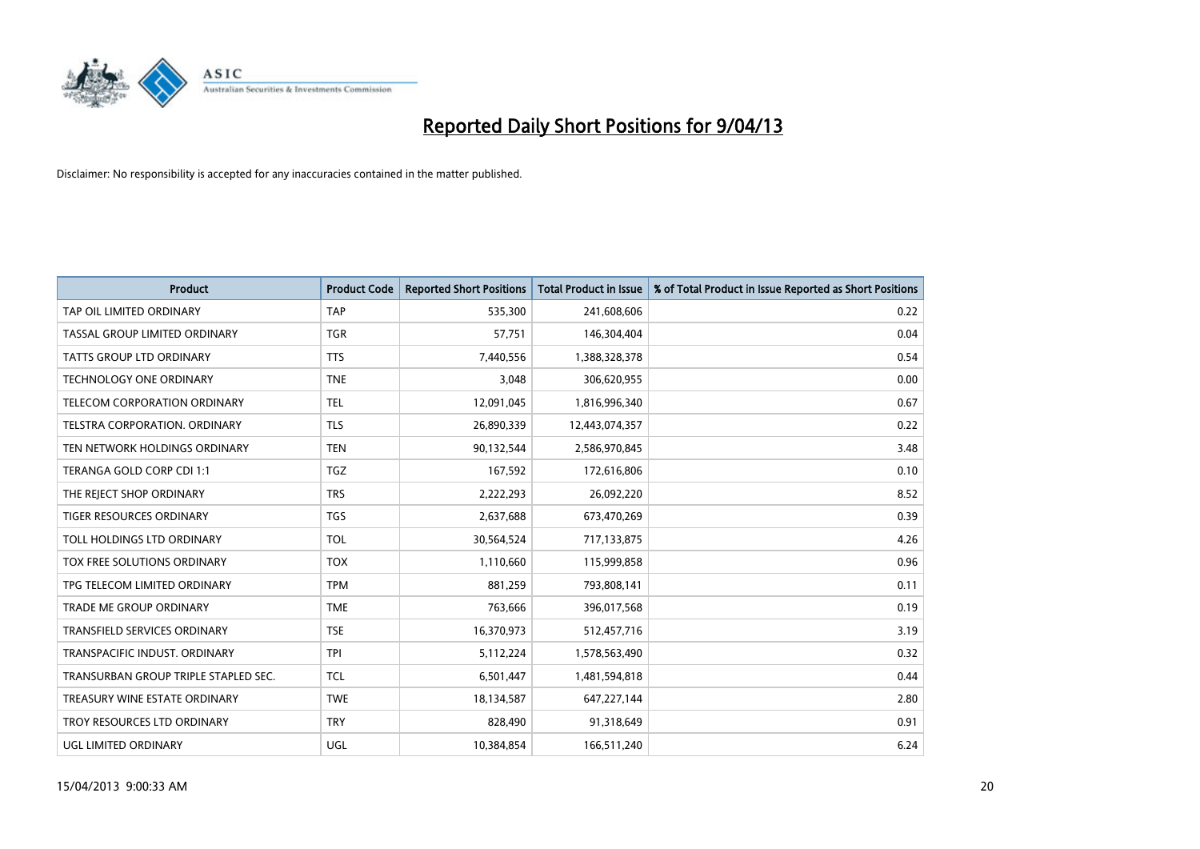

| <b>Product</b>                       | <b>Product Code</b> | <b>Reported Short Positions</b> | <b>Total Product in Issue</b> | % of Total Product in Issue Reported as Short Positions |
|--------------------------------------|---------------------|---------------------------------|-------------------------------|---------------------------------------------------------|
| TAP OIL LIMITED ORDINARY             | <b>TAP</b>          | 535,300                         | 241,608,606                   | 0.22                                                    |
| TASSAL GROUP LIMITED ORDINARY        | <b>TGR</b>          | 57,751                          | 146,304,404                   | 0.04                                                    |
| <b>TATTS GROUP LTD ORDINARY</b>      | <b>TTS</b>          | 7,440,556                       | 1,388,328,378                 | 0.54                                                    |
| <b>TECHNOLOGY ONE ORDINARY</b>       | <b>TNE</b>          | 3,048                           | 306,620,955                   | 0.00                                                    |
| TELECOM CORPORATION ORDINARY         | <b>TEL</b>          | 12,091,045                      | 1,816,996,340                 | 0.67                                                    |
| TELSTRA CORPORATION, ORDINARY        | <b>TLS</b>          | 26,890,339                      | 12,443,074,357                | 0.22                                                    |
| TEN NETWORK HOLDINGS ORDINARY        | <b>TEN</b>          | 90,132,544                      | 2,586,970,845                 | 3.48                                                    |
| TERANGA GOLD CORP CDI 1:1            | <b>TGZ</b>          | 167,592                         | 172,616,806                   | 0.10                                                    |
| THE REJECT SHOP ORDINARY             | <b>TRS</b>          | 2,222,293                       | 26,092,220                    | 8.52                                                    |
| <b>TIGER RESOURCES ORDINARY</b>      | <b>TGS</b>          | 2,637,688                       | 673,470,269                   | 0.39                                                    |
| TOLL HOLDINGS LTD ORDINARY           | <b>TOL</b>          | 30,564,524                      | 717,133,875                   | 4.26                                                    |
| TOX FREE SOLUTIONS ORDINARY          | <b>TOX</b>          | 1,110,660                       | 115,999,858                   | 0.96                                                    |
| TPG TELECOM LIMITED ORDINARY         | <b>TPM</b>          | 881,259                         | 793,808,141                   | 0.11                                                    |
| <b>TRADE ME GROUP ORDINARY</b>       | <b>TME</b>          | 763,666                         | 396,017,568                   | 0.19                                                    |
| TRANSFIELD SERVICES ORDINARY         | <b>TSE</b>          | 16,370,973                      | 512,457,716                   | 3.19                                                    |
| TRANSPACIFIC INDUST, ORDINARY        | <b>TPI</b>          | 5,112,224                       | 1,578,563,490                 | 0.32                                                    |
| TRANSURBAN GROUP TRIPLE STAPLED SEC. | TCL                 | 6,501,447                       | 1,481,594,818                 | 0.44                                                    |
| TREASURY WINE ESTATE ORDINARY        | <b>TWE</b>          | 18,134,587                      | 647,227,144                   | 2.80                                                    |
| TROY RESOURCES LTD ORDINARY          | <b>TRY</b>          | 828,490                         | 91,318,649                    | 0.91                                                    |
| UGL LIMITED ORDINARY                 | UGL                 | 10,384,854                      | 166,511,240                   | 6.24                                                    |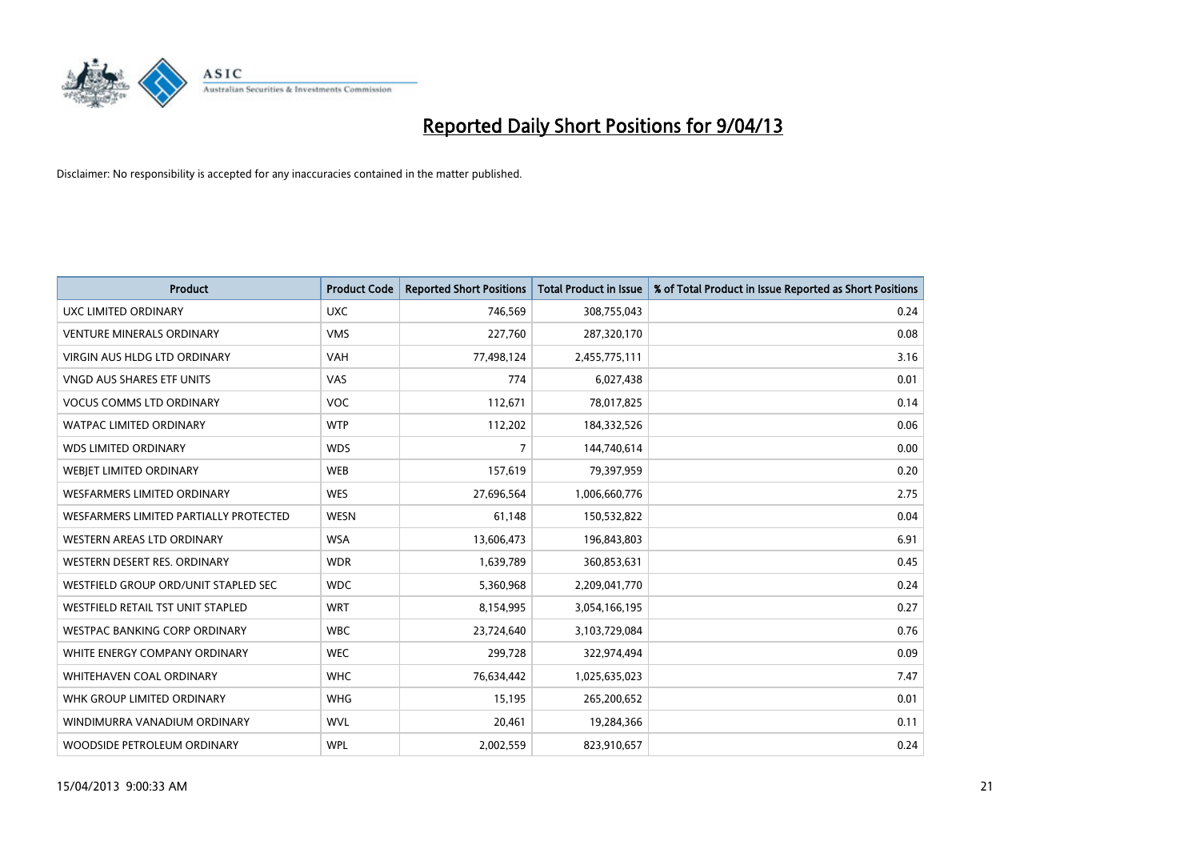

| <b>Product</b>                         | <b>Product Code</b> | <b>Reported Short Positions</b> | <b>Total Product in Issue</b> | % of Total Product in Issue Reported as Short Positions |
|----------------------------------------|---------------------|---------------------------------|-------------------------------|---------------------------------------------------------|
| UXC LIMITED ORDINARY                   | <b>UXC</b>          | 746,569                         | 308,755,043                   | 0.24                                                    |
| <b>VENTURE MINERALS ORDINARY</b>       | <b>VMS</b>          | 227,760                         | 287,320,170                   | 0.08                                                    |
| VIRGIN AUS HLDG LTD ORDINARY           | <b>VAH</b>          | 77,498,124                      | 2,455,775,111                 | 3.16                                                    |
| VNGD AUS SHARES ETF UNITS              | VAS                 | 774                             | 6,027,438                     | 0.01                                                    |
| <b>VOCUS COMMS LTD ORDINARY</b>        | <b>VOC</b>          | 112,671                         | 78,017,825                    | 0.14                                                    |
| <b>WATPAC LIMITED ORDINARY</b>         | <b>WTP</b>          | 112,202                         | 184,332,526                   | 0.06                                                    |
| <b>WDS LIMITED ORDINARY</b>            | <b>WDS</b>          | $\overline{7}$                  | 144,740,614                   | 0.00                                                    |
| WEBJET LIMITED ORDINARY                | <b>WEB</b>          | 157,619                         | 79,397,959                    | 0.20                                                    |
| <b>WESFARMERS LIMITED ORDINARY</b>     | <b>WES</b>          | 27,696,564                      | 1,006,660,776                 | 2.75                                                    |
| WESFARMERS LIMITED PARTIALLY PROTECTED | <b>WESN</b>         | 61,148                          | 150,532,822                   | 0.04                                                    |
| <b>WESTERN AREAS LTD ORDINARY</b>      | <b>WSA</b>          | 13,606,473                      | 196,843,803                   | 6.91                                                    |
| WESTERN DESERT RES. ORDINARY           | <b>WDR</b>          | 1,639,789                       | 360,853,631                   | 0.45                                                    |
| WESTFIELD GROUP ORD/UNIT STAPLED SEC   | <b>WDC</b>          | 5,360,968                       | 2,209,041,770                 | 0.24                                                    |
| WESTFIELD RETAIL TST UNIT STAPLED      | <b>WRT</b>          | 8,154,995                       | 3,054,166,195                 | 0.27                                                    |
| <b>WESTPAC BANKING CORP ORDINARY</b>   | <b>WBC</b>          | 23,724,640                      | 3,103,729,084                 | 0.76                                                    |
| WHITE ENERGY COMPANY ORDINARY          | <b>WEC</b>          | 299,728                         | 322,974,494                   | 0.09                                                    |
| WHITEHAVEN COAL ORDINARY               | <b>WHC</b>          | 76,634,442                      | 1,025,635,023                 | 7.47                                                    |
| WHK GROUP LIMITED ORDINARY             | <b>WHG</b>          | 15,195                          | 265,200,652                   | 0.01                                                    |
| WINDIMURRA VANADIUM ORDINARY           | <b>WVL</b>          | 20,461                          | 19,284,366                    | 0.11                                                    |
| WOODSIDE PETROLEUM ORDINARY            | <b>WPL</b>          | 2,002,559                       | 823,910,657                   | 0.24                                                    |